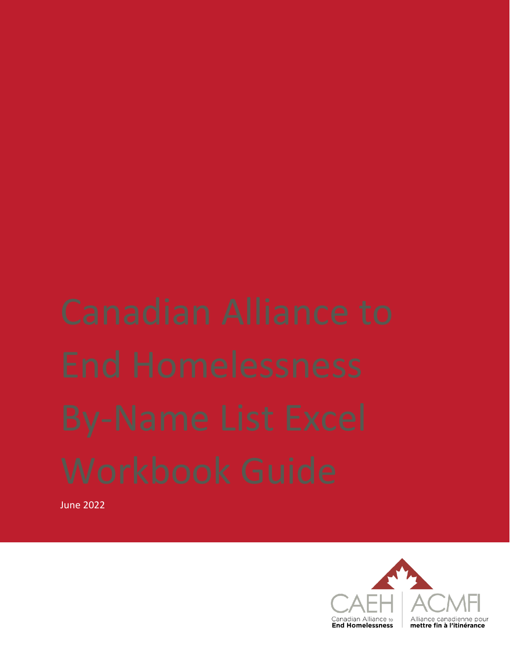June 2022

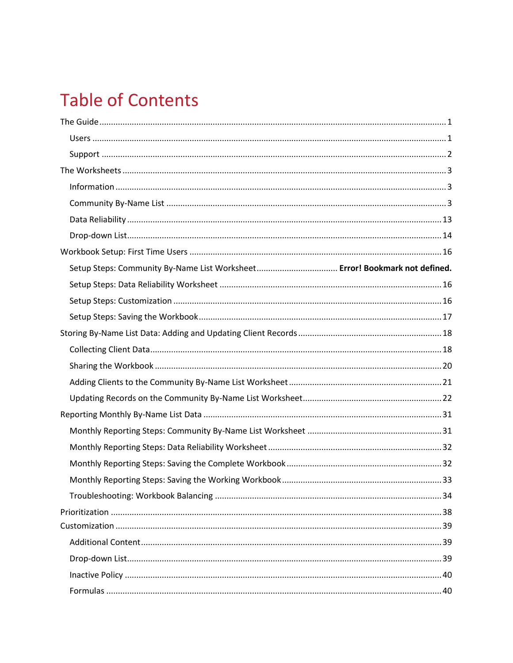## **Table of Contents**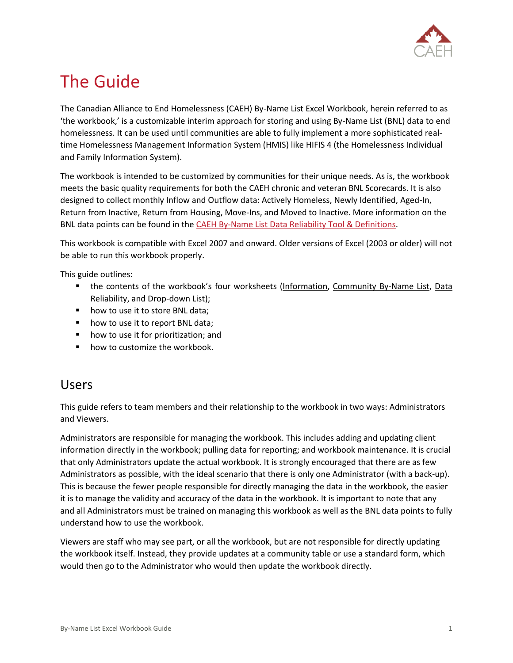

## <span id="page-2-0"></span>The Guide

The Canadian Alliance to End Homelessness (CAEH) By-Name List Excel Workbook, herein referred to as 'the workbook,' is a customizable interim approach for storing and using By-Name List (BNL) data to end homelessness. It can be used until communities are able to fully implement a more sophisticated realtime Homelessness Management Information System (HMIS) like HIFIS 4 (the Homelessness Individual and Family Information System).

The workbook is intended to be customized by communities for their unique needs. As is, the workbook meets the basic quality requirements for both the CAEH chronic and veteran BNL Scorecards. It is also designed to collect monthly Inflow and Outflow data: Actively Homeless, Newly Identified, Aged-In, Return from Inactive, Return from Housing, Move-Ins, and Moved to Inactive. More information on the BNL data points can be found in the [CAEH By-Name List Data Reliability Tool & Definitions.](https://docs.google.com/spreadsheets/d/10jOlWL1X3XnE4znZSg7Y__0QiRzACNAmbQDLdOCUp3s/edit#gid=448876506)

This workbook is compatible with Excel 2007 and onward. Older versions of Excel (2003 or older) will not be able to run this workbook properly.

This guide outlines:

- the contents of the workbook's four worksheets (Information, Community By-Name List, Data Reliability, and Drop-down List);
- how to use it to store BNL data;
- how to use it to report BNL data;
- how to use it for prioritization; and
- how to customize the workbook.

### <span id="page-2-1"></span>Users

This guide refers to team members and their relationship to the workbook in two ways: Administrators and Viewers.

Administrators are responsible for managing the workbook. This includes adding and updating client information directly in the workbook; pulling data for reporting; and workbook maintenance. It is crucial that only Administrators update the actual workbook. It is strongly encouraged that there are as few Administrators as possible, with the ideal scenario that there is only one Administrator (with a back-up). This is because the fewer people responsible for directly managing the data in the workbook, the easier it is to manage the validity and accuracy of the data in the workbook. It is important to note that any and all Administrators must be trained on managing this workbook as well as the BNL data points to fully understand how to use the workbook.

Viewers are staff who may see part, or all the workbook, but are not responsible for directly updating the workbook itself. Instead, they provide updates at a community table or use a standard form, which would then go to the Administrator who would then update the workbook directly.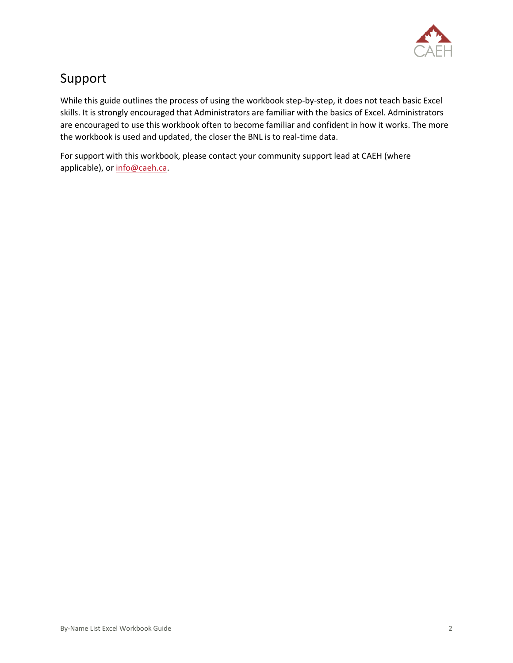

## <span id="page-3-0"></span>Support

While this guide outlines the process of using the workbook step-by-step, it does not teach basic Excel skills. It is strongly encouraged that Administrators are familiar with the basics of Excel. Administrators are encouraged to use this workbook often to become familiar and confident in how it works. The more the workbook is used and updated, the closer the BNL is to real-time data.

For support with this workbook, please contact your community support lead at CAEH (where applicable), or [info@caeh.ca.](mailto:info@caeh.ca)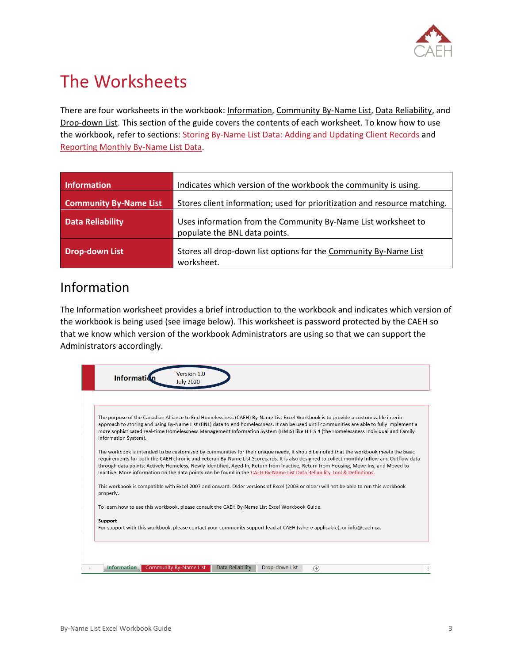

## <span id="page-4-0"></span>The Worksheets

There are four worksheets in the workbook: Information, Community By-Name List, Data Reliability, and Drop-down List. This section of the guide covers the contents of each worksheet. To know how to use the workbook, refer to sections: [Storing By-Name List Data: Adding and Updating Client Records](#page-17-0) and [Reporting Monthly By-Name List Data.](#page-32-0)

| <b>Information</b>            | Indicates which version of the workbook the community is using.                                |
|-------------------------------|------------------------------------------------------------------------------------------------|
| <b>Community By-Name List</b> | Stores client information; used for prioritization and resource matching.                      |
| <b>Data Reliability</b>       | Uses information from the Community By-Name List worksheet to<br>populate the BNL data points. |
| <b>Drop-down List</b>         | Stores all drop-down list options for the Community By-Name List<br>worksheet.                 |

### <span id="page-4-1"></span>Information

The Information worksheet provides a brief introduction to the workbook and indicates which version of the workbook is being used (see image below). This worksheet is password protected by the CAEH so that we know which version of the workbook Administrators are using so that we can support the Administrators accordingly.

<span id="page-4-2"></span>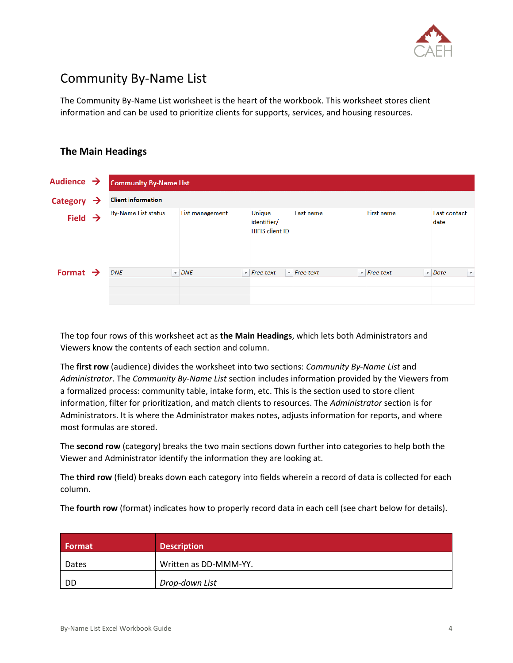

## Community By-Name List

The Community By-Name List worksheet is the heart of the workbook. This worksheet stores client information and can be used to prioritize clients for supports, services, and housing resources.

### **The Main Headings**

| Audience $\rightarrow$ |   | <b>Community By-Name List</b> |                 |                                                 |                                    |                                    |                               |        |
|------------------------|---|-------------------------------|-----------------|-------------------------------------------------|------------------------------------|------------------------------------|-------------------------------|--------|
| <b>Category</b>        | → | <b>Client information</b>     |                 |                                                 |                                    |                                    |                               |        |
| Field $\rightarrow$    |   | <b>By-Name List status</b>    | List management | Unique<br>identifier/<br><b>HIFIS client ID</b> | Last name                          | First name                         | Last contact<br>date          |        |
| Format $\rightarrow$   |   | <b>DNE</b>                    | $\sim$ DNE      | $\overline{\phantom{a}}$ Free text              | $\overline{\phantom{a}}$ Free text | $\overline{\phantom{a}}$ Free text | $\overline{\phantom{a}}$ Date | $\vee$ |
|                        |   |                               |                 |                                                 |                                    |                                    |                               |        |

The top four rows of this worksheet act as **the Main Headings**, which lets both Administrators and Viewers know the contents of each section and column.

The **first row** (audience) divides the worksheet into two sections: *Community By-Name List* and *Administrator*. The *Community By-Name List* section includes information provided by the Viewers from a formalized process: community table, intake form, etc. This is the section used to store client information, filter for prioritization, and match clients to resources. The *Administrator* section is for Administrators. It is where the Administrator makes notes, adjusts information for reports, and where most formulas are stored.

The **second row** (category) breaks the two main sections down further into categories to help both the Viewer and Administrator identify the information they are looking at.

The **third row** (field) breaks down each category into fields wherein a record of data is collected for each column.

The **fourth row** (format) indicates how to properly record data in each cell (see chart below for details).

| <b>Format</b> | <b>Description</b>    |
|---------------|-----------------------|
| Dates         | Written as DD-MMM-YY. |
| -DD           | Drop-down List        |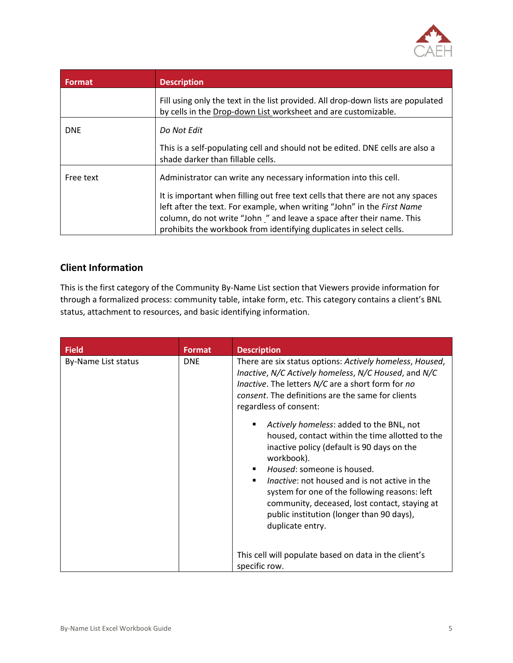

| <b>Format</b> | <b>Description</b>                                                                                                                                                                                                                                                                                       |
|---------------|----------------------------------------------------------------------------------------------------------------------------------------------------------------------------------------------------------------------------------------------------------------------------------------------------------|
|               | Fill using only the text in the list provided. All drop-down lists are populated<br>by cells in the Drop-down List worksheet and are customizable.                                                                                                                                                       |
| <b>DNE</b>    | Do Not Edit                                                                                                                                                                                                                                                                                              |
|               | This is a self-populating cell and should not be edited. DNE cells are also a<br>shade darker than fillable cells.                                                                                                                                                                                       |
| Free text     | Administrator can write any necessary information into this cell.                                                                                                                                                                                                                                        |
|               | It is important when filling out free text cells that there are not any spaces<br>left after the text. For example, when writing "John" in the First Name<br>column, do not write "John" and leave a space after their name. This<br>prohibits the workbook from identifying duplicates in select cells. |

#### **Client Information**

This is the first category of the Community By-Name List section that Viewers provide information for through a formalized process: community table, intake form, etc. This category contains a client's BNL status, attachment to resources, and basic identifying information.

| <b>Field</b>        | <b>Format</b> | <b>Description</b>                                                                                                                                                                                                                                                                                                                                                                                        |
|---------------------|---------------|-----------------------------------------------------------------------------------------------------------------------------------------------------------------------------------------------------------------------------------------------------------------------------------------------------------------------------------------------------------------------------------------------------------|
| By-Name List status | <b>DNE</b>    | There are six status options: Actively homeless, Housed,<br>Inactive, N/C Actively homeless, N/C Housed, and N/C<br><i>Inactive</i> . The letters N/C are a short form for no<br>consent. The definitions are the same for clients<br>regardless of consent:                                                                                                                                              |
|                     |               | Actively homeless: added to the BNL, not<br>housed, contact within the time allotted to the<br>inactive policy (default is 90 days on the<br>workbook).<br>Housed: someone is housed.<br>Inactive: not housed and is not active in the<br>system for one of the following reasons: left<br>community, deceased, lost contact, staying at<br>public institution (longer than 90 days),<br>duplicate entry. |
|                     |               | This cell will populate based on data in the client's<br>specific row.                                                                                                                                                                                                                                                                                                                                    |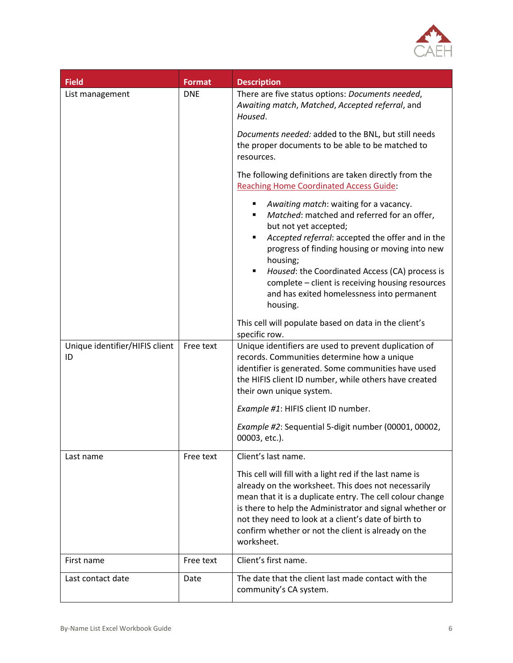

| <b>Field</b>                         | <b>Format</b> | <b>Description</b>                                                                                                                                                                                                                                                                                                                                                                                         |
|--------------------------------------|---------------|------------------------------------------------------------------------------------------------------------------------------------------------------------------------------------------------------------------------------------------------------------------------------------------------------------------------------------------------------------------------------------------------------------|
| List management                      | <b>DNE</b>    | There are five status options: Documents needed,<br>Awaiting match, Matched, Accepted referral, and<br>Housed.                                                                                                                                                                                                                                                                                             |
|                                      |               | Documents needed: added to the BNL, but still needs<br>the proper documents to be able to be matched to<br>resources.                                                                                                                                                                                                                                                                                      |
|                                      |               | The following definitions are taken directly from the<br><b>Reaching Home Coordinated Access Guide:</b>                                                                                                                                                                                                                                                                                                    |
|                                      |               | Awaiting match: waiting for a vacancy.<br>٠<br>Matched: matched and referred for an offer,<br>but not yet accepted;<br>Accepted referral: accepted the offer and in the<br>٠<br>progress of finding housing or moving into new<br>housing;<br>Housed: the Coordinated Access (CA) process is<br>complete - client is receiving housing resources<br>and has exited homelessness into permanent<br>housing. |
|                                      |               | This cell will populate based on data in the client's<br>specific row.                                                                                                                                                                                                                                                                                                                                     |
| Unique identifier/HIFIS client<br>ID | Free text     | Unique identifiers are used to prevent duplication of<br>records. Communities determine how a unique<br>identifier is generated. Some communities have used<br>the HIFIS client ID number, while others have created<br>their own unique system.                                                                                                                                                           |
|                                      |               | Example #1: HIFIS client ID number.                                                                                                                                                                                                                                                                                                                                                                        |
|                                      |               | Example #2: Sequential 5-digit number (00001, 00002,<br>00003, etc.).                                                                                                                                                                                                                                                                                                                                      |
| Last name                            | Free text     | Client's last name.                                                                                                                                                                                                                                                                                                                                                                                        |
|                                      |               | This cell will fill with a light red if the last name is<br>already on the worksheet. This does not necessarily<br>mean that it is a duplicate entry. The cell colour change<br>is there to help the Administrator and signal whether or<br>not they need to look at a client's date of birth to<br>confirm whether or not the client is already on the<br>worksheet.                                      |
| First name                           | Free text     | Client's first name.                                                                                                                                                                                                                                                                                                                                                                                       |
| Last contact date                    | Date          | The date that the client last made contact with the<br>community's CA system.                                                                                                                                                                                                                                                                                                                              |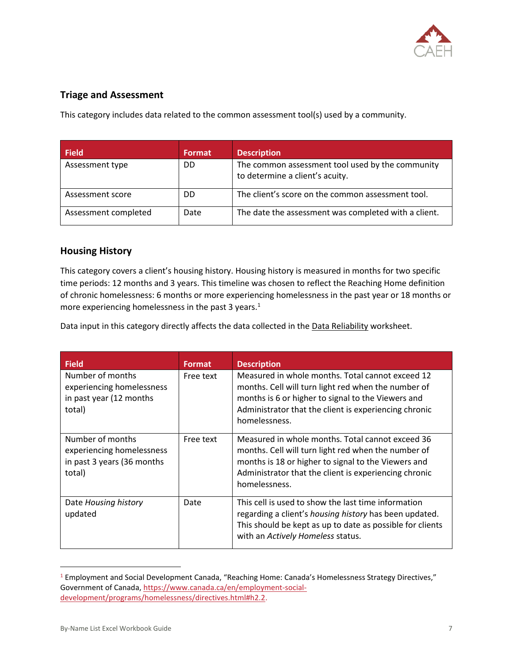

#### **Triage and Assessment**

This category includes data related to the common assessment tool(s) used by a community.

| <b>Field</b>         | <b>Format</b> | <b>Description</b>                                                                  |
|----------------------|---------------|-------------------------------------------------------------------------------------|
| Assessment type      | DD            | The common assessment tool used by the community<br>to determine a client's acuity. |
| Assessment score     | DD            | The client's score on the common assessment tool.                                   |
| Assessment completed | Date          | The date the assessment was completed with a client.                                |

#### **Housing History**

This category covers a client's housing history. Housing history is measured in months for two specific time periods: 12 months and 3 years. This timeline was chosen to reflect the Reaching Home definition of chronic homelessness: 6 months or more experiencing homelessness in the past year or 18 months or more experiencing homelessness in the past 3 years.<sup>1</sup>

Data input in this category directly affects the data collected in the Data Reliability worksheet.

| <b>Field</b>                                                                          | <b>Format</b> | <b>Description</b>                                                                                                                                                                                                                       |
|---------------------------------------------------------------------------------------|---------------|------------------------------------------------------------------------------------------------------------------------------------------------------------------------------------------------------------------------------------------|
| Number of months<br>experiencing homelessness<br>in past year (12 months<br>total)    | Free text     | Measured in whole months. Total cannot exceed 12<br>months. Cell will turn light red when the number of<br>months is 6 or higher to signal to the Viewers and<br>Administrator that the client is experiencing chronic<br>homelessness.  |
| Number of months<br>experiencing homelessness<br>in past 3 years (36 months<br>total) | Free text     | Measured in whole months. Total cannot exceed 36<br>months. Cell will turn light red when the number of<br>months is 18 or higher to signal to the Viewers and<br>Administrator that the client is experiencing chronic<br>homelessness. |
| Date Housing history<br>updated                                                       | Date          | This cell is used to show the last time information<br>regarding a client's housing history has been updated.<br>This should be kept as up to date as possible for clients<br>with an Actively Homeless status.                          |

<sup>1</sup> Employment and Social Development Canada, "Reaching Home: Canada's Homelessness Strategy Directives," Government of Canada, [https://www.canada.ca/en/employment-social](https://www.canada.ca/en/employment-social-development/programs/homelessness/directives.html#h2.2)[development/programs/homelessness/directives.html#h2.2.](https://www.canada.ca/en/employment-social-development/programs/homelessness/directives.html#h2.2)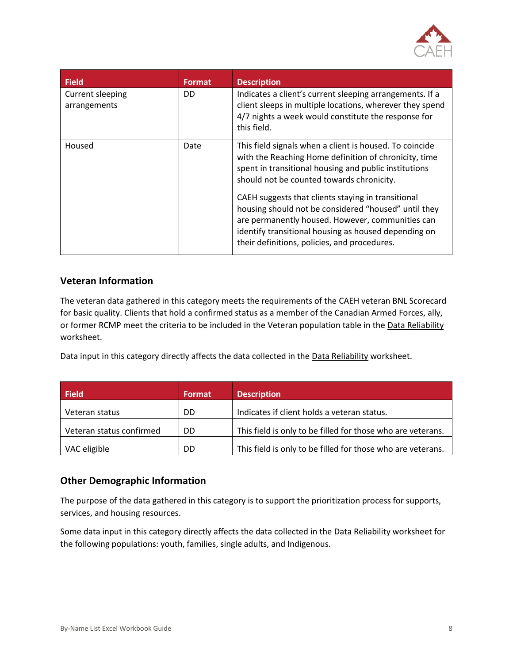

| <b>Field</b>                     | <b>Format</b> | <b>Description</b>                                                                                                                                                                                                                                                                                                                                                                                                                                                                               |
|----------------------------------|---------------|--------------------------------------------------------------------------------------------------------------------------------------------------------------------------------------------------------------------------------------------------------------------------------------------------------------------------------------------------------------------------------------------------------------------------------------------------------------------------------------------------|
| Current sleeping<br>arrangements | DD            | Indicates a client's current sleeping arrangements. If a<br>client sleeps in multiple locations, wherever they spend<br>4/7 nights a week would constitute the response for<br>this field.                                                                                                                                                                                                                                                                                                       |
| Housed                           | Date          | This field signals when a client is housed. To coincide<br>with the Reaching Home definition of chronicity, time<br>spent in transitional housing and public institutions<br>should not be counted towards chronicity.<br>CAEH suggests that clients staying in transitional<br>housing should not be considered "housed" until they<br>are permanently housed. However, communities can<br>identify transitional housing as housed depending on<br>their definitions, policies, and procedures. |

#### **Veteran Information**

The veteran data gathered in this category meets the requirements of the CAEH veteran BNL Scorecard for basic quality. Clients that hold a confirmed status as a member of the Canadian Armed Forces, ally, or former RCMP meet the criteria to be included in the Veteran population table in the Data Reliability worksheet.

Data input in this category directly affects the data collected in the Data Reliability worksheet.

| <b>Field</b>             | <b>Format</b> | <b>Description</b>                                          |
|--------------------------|---------------|-------------------------------------------------------------|
| Veteran status           | DD            | Indicates if client holds a veteran status.                 |
| Veteran status confirmed | DD            | This field is only to be filled for those who are veterans. |
| VAC eligible             | DD            | This field is only to be filled for those who are veterans. |

#### **Other Demographic Information**

The purpose of the data gathered in this category is to support the prioritization process for supports, services, and housing resources.

Some data input in this category directly affects the data collected in the Data Reliability worksheet for the following populations: youth, families, single adults, and Indigenous.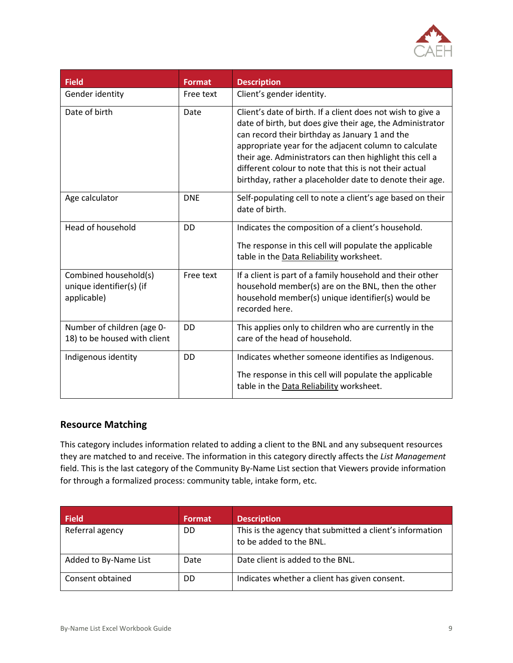

| <b>Field</b>                                                     | <b>Format</b> | <b>Description</b>                                                                                                                                                                                                                                                                                                                                                                                                    |
|------------------------------------------------------------------|---------------|-----------------------------------------------------------------------------------------------------------------------------------------------------------------------------------------------------------------------------------------------------------------------------------------------------------------------------------------------------------------------------------------------------------------------|
| Gender identity                                                  | Free text     | Client's gender identity.                                                                                                                                                                                                                                                                                                                                                                                             |
| Date of birth                                                    | Date          | Client's date of birth. If a client does not wish to give a<br>date of birth, but does give their age, the Administrator<br>can record their birthday as January 1 and the<br>appropriate year for the adjacent column to calculate<br>their age. Administrators can then highlight this cell a<br>different colour to note that this is not their actual<br>birthday, rather a placeholder date to denote their age. |
| Age calculator                                                   | <b>DNE</b>    | Self-populating cell to note a client's age based on their<br>date of birth.                                                                                                                                                                                                                                                                                                                                          |
| Head of household                                                | DD            | Indicates the composition of a client's household.<br>The response in this cell will populate the applicable<br>table in the Data Reliability worksheet.                                                                                                                                                                                                                                                              |
| Combined household(s)<br>unique identifier(s) (if<br>applicable) | Free text     | If a client is part of a family household and their other<br>household member(s) are on the BNL, then the other<br>household member(s) unique identifier(s) would be<br>recorded here.                                                                                                                                                                                                                                |
| Number of children (age 0-<br>18) to be housed with client       | <b>DD</b>     | This applies only to children who are currently in the<br>care of the head of household.                                                                                                                                                                                                                                                                                                                              |
| Indigenous identity                                              | <b>DD</b>     | Indicates whether someone identifies as Indigenous.<br>The response in this cell will populate the applicable<br>table in the Data Reliability worksheet.                                                                                                                                                                                                                                                             |

#### **Resource Matching**

This category includes information related to adding a client to the BNL and any subsequent resources they are matched to and receive. The information in this category directly affects the *List Management*  field. This is the last category of the Community By-Name List section that Viewers provide information for through a formalized process: community table, intake form, etc.

| <b>Field</b>          | <b>Format</b> | <b>Description</b>                                                                  |
|-----------------------|---------------|-------------------------------------------------------------------------------------|
| Referral agency       | DD            | This is the agency that submitted a client's information<br>to be added to the BNL. |
| Added to By-Name List | Date          | Date client is added to the BNL.                                                    |
| Consent obtained      | DD            | Indicates whether a client has given consent.                                       |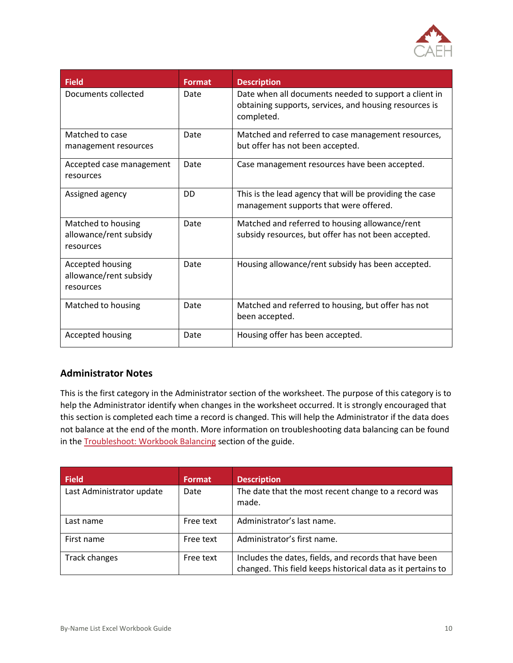

| <b>Field</b>                          | <b>Format</b> | <b>Description</b>                                                                                                            |
|---------------------------------------|---------------|-------------------------------------------------------------------------------------------------------------------------------|
| Documents collected                   | Date          | Date when all documents needed to support a client in<br>obtaining supports, services, and housing resources is<br>completed. |
| Matched to case                       | Date          | Matched and referred to case management resources,                                                                            |
| management resources                  |               | but offer has not been accepted.                                                                                              |
| Accepted case management<br>resources | Date          | Case management resources have been accepted.                                                                                 |
| Assigned agency                       | <b>DD</b>     | This is the lead agency that will be providing the case                                                                       |
|                                       |               | management supports that were offered.                                                                                        |
| Matched to housing                    | Date          | Matched and referred to housing allowance/rent                                                                                |
| allowance/rent subsidy<br>resources   |               | subsidy resources, but offer has not been accepted.                                                                           |
| Accepted housing                      | Date          | Housing allowance/rent subsidy has been accepted.                                                                             |
| allowance/rent subsidy<br>resources   |               |                                                                                                                               |
| Matched to housing                    | Date          | Matched and referred to housing, but offer has not<br>been accepted.                                                          |
|                                       |               |                                                                                                                               |
| Accepted housing                      | Date          | Housing offer has been accepted.                                                                                              |

#### **Administrator Notes**

This is the first category in the Administrator section of the worksheet. The purpose of this category is to help the Administrator identify when changes in the worksheet occurred. It is strongly encouraged that this section is completed each time a record is changed. This will help the Administrator if the data does not balance at the end of the month. More information on troubleshooting data balancing can be found in the [Troubleshoot: Workbook Balancing](#page-35-0) section of the guide.

| <b>Field</b>              | Format    | <b>Description</b>                                                                                                    |
|---------------------------|-----------|-----------------------------------------------------------------------------------------------------------------------|
| Last Administrator update | Date      | The date that the most recent change to a record was<br>made.                                                         |
| Last name                 | Free text | Administrator's last name.                                                                                            |
| First name                | Free text | Administrator's first name.                                                                                           |
| Track changes             | Free text | Includes the dates, fields, and records that have been<br>changed. This field keeps historical data as it pertains to |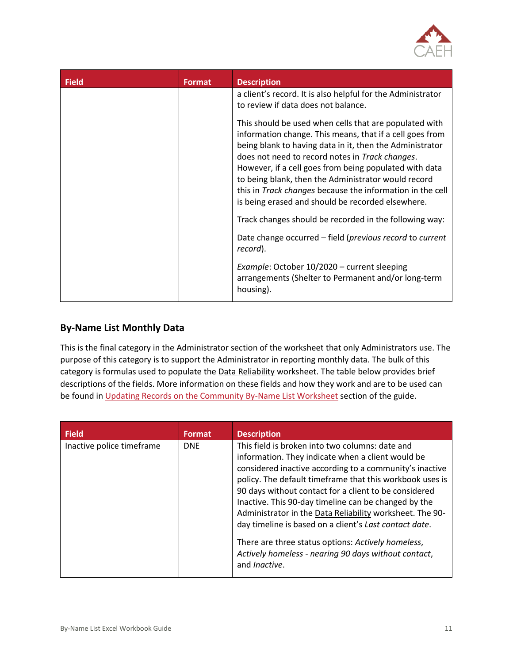

| <b>Field</b> | <b>Format</b> | <b>Description</b>                                                                                                                                                                                                                                                                                                                                                                                                                                                   |
|--------------|---------------|----------------------------------------------------------------------------------------------------------------------------------------------------------------------------------------------------------------------------------------------------------------------------------------------------------------------------------------------------------------------------------------------------------------------------------------------------------------------|
|              |               | a client's record. It is also helpful for the Administrator<br>to review if data does not balance.                                                                                                                                                                                                                                                                                                                                                                   |
|              |               | This should be used when cells that are populated with<br>information change. This means, that if a cell goes from<br>being blank to having data in it, then the Administrator<br>does not need to record notes in Track changes.<br>However, if a cell goes from being populated with data<br>to being blank, then the Administrator would record<br>this in Track changes because the information in the cell<br>is being erased and should be recorded elsewhere. |
|              |               | Track changes should be recorded in the following way:                                                                                                                                                                                                                                                                                                                                                                                                               |
|              |               | Date change occurred - field (previous record to current<br>record).                                                                                                                                                                                                                                                                                                                                                                                                 |
|              |               | Example: October 10/2020 - current sleeping<br>arrangements (Shelter to Permanent and/or long-term<br>housing).                                                                                                                                                                                                                                                                                                                                                      |

#### **By-Name List Monthly Data**

This is the final category in the Administrator section of the worksheet that only Administrators use. The purpose of this category is to support the Administrator in reporting monthly data. The bulk of this category is formulas used to populate the Data Reliability worksheet. The table below provides brief descriptions of the fields. More information on these fields and how they work and are to be used can be found i[n Updating Records on the Community By-Name List Worksheet](#page-23-0) section of the guide.

| <b>Field</b>              | <b>Format</b> | <b>Description</b>                                                                                                                                                                                                                                                                                                                                                                                                                                                                                                                                                                                        |
|---------------------------|---------------|-----------------------------------------------------------------------------------------------------------------------------------------------------------------------------------------------------------------------------------------------------------------------------------------------------------------------------------------------------------------------------------------------------------------------------------------------------------------------------------------------------------------------------------------------------------------------------------------------------------|
| Inactive police timeframe | <b>DNE</b>    | This field is broken into two columns: date and<br>information. They indicate when a client would be<br>considered inactive according to a community's inactive<br>policy. The default timeframe that this workbook uses is<br>90 days without contact for a client to be considered<br>Inactive. This 90-day timeline can be changed by the<br>Administrator in the Data Reliability worksheet. The 90-<br>day timeline is based on a client's Last contact date.<br>There are three status options: Actively homeless,<br>Actively homeless - nearing 90 days without contact,<br>and <i>Ingctive</i> . |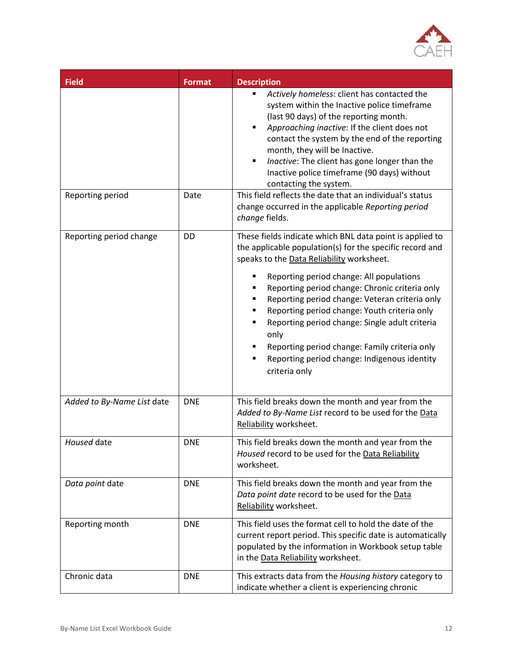

| <b>Field</b>               | <b>Format</b> | <b>Description</b>                                                                                                                                                                                                                                                                                                                                                                                                       |
|----------------------------|---------------|--------------------------------------------------------------------------------------------------------------------------------------------------------------------------------------------------------------------------------------------------------------------------------------------------------------------------------------------------------------------------------------------------------------------------|
|                            |               | Actively homeless: client has contacted the<br>system within the Inactive police timeframe<br>(last 90 days) of the reporting month.<br>Approaching inactive: If the client does not<br>$\blacksquare$<br>contact the system by the end of the reporting<br>month, they will be Inactive.<br>Inactive: The client has gone longer than the<br>٠<br>Inactive police timeframe (90 days) without<br>contacting the system. |
| Reporting period           | Date          | This field reflects the date that an individual's status<br>change occurred in the applicable Reporting period<br>change fields.                                                                                                                                                                                                                                                                                         |
| Reporting period change    | <b>DD</b>     | These fields indicate which BNL data point is applied to<br>the applicable population(s) for the specific record and<br>speaks to the Data Reliability worksheet.                                                                                                                                                                                                                                                        |
|                            |               | Reporting period change: All populations<br>Reporting period change: Chronic criteria only<br>Reporting period change: Veteran criteria only<br>٠<br>Reporting period change: Youth criteria only<br>٠<br>Reporting period change: Single adult criteria<br>$\blacksquare$<br>only<br>Reporting period change: Family criteria only<br>Reporting period change: Indigenous identity<br>criteria only                     |
| Added to By-Name List date | <b>DNE</b>    | This field breaks down the month and year from the<br>Added to By-Name List record to be used for the Data<br>Reliability worksheet.                                                                                                                                                                                                                                                                                     |
| Housed date                | <b>DNE</b>    | This field breaks down the month and year from the<br>Housed record to be used for the Data Reliability<br>worksheet.                                                                                                                                                                                                                                                                                                    |
| Data point date            | <b>DNE</b>    | This field breaks down the month and year from the<br>Data point date record to be used for the Data<br>Reliability worksheet.                                                                                                                                                                                                                                                                                           |
| Reporting month            | <b>DNE</b>    | This field uses the format cell to hold the date of the<br>current report period. This specific date is automatically<br>populated by the information in Workbook setup table<br>in the Data Reliability worksheet.                                                                                                                                                                                                      |
| Chronic data               | <b>DNE</b>    | This extracts data from the Housing history category to<br>indicate whether a client is experiencing chronic                                                                                                                                                                                                                                                                                                             |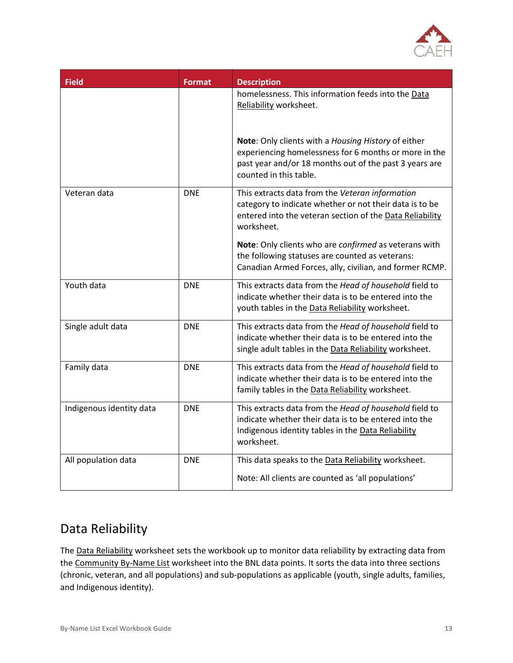

| <b>Field</b>             | <b>Format</b> | <b>Description</b>                                                                                                                                                                               |
|--------------------------|---------------|--------------------------------------------------------------------------------------------------------------------------------------------------------------------------------------------------|
|                          |               | homelessness. This information feeds into the Data<br>Reliability worksheet.                                                                                                                     |
|                          |               | Note: Only clients with a Housing History of either<br>experiencing homelessness for 6 months or more in the<br>past year and/or 18 months out of the past 3 years are<br>counted in this table. |
| Veteran data             | <b>DNE</b>    | This extracts data from the Veteran information<br>category to indicate whether or not their data is to be<br>entered into the veteran section of the Data Reliability<br>worksheet.             |
|                          |               | Note: Only clients who are confirmed as veterans with<br>the following statuses are counted as veterans:<br>Canadian Armed Forces, ally, civilian, and former RCMP.                              |
| Youth data               | <b>DNE</b>    | This extracts data from the Head of household field to<br>indicate whether their data is to be entered into the<br>youth tables in the Data Reliability worksheet.                               |
| Single adult data        | <b>DNE</b>    | This extracts data from the Head of household field to<br>indicate whether their data is to be entered into the<br>single adult tables in the Data Reliability worksheet.                        |
| Family data              | <b>DNE</b>    | This extracts data from the Head of household field to<br>indicate whether their data is to be entered into the<br>family tables in the Data Reliability worksheet.                              |
| Indigenous identity data | <b>DNE</b>    | This extracts data from the Head of household field to<br>indicate whether their data is to be entered into the<br>Indigenous identity tables in the Data Reliability<br>worksheet.              |
| All population data      | <b>DNE</b>    | This data speaks to the Data Reliability worksheet.<br>Note: All clients are counted as 'all populations'                                                                                        |

## <span id="page-14-0"></span>Data Reliability

The Data Reliability worksheet sets the workbook up to monitor data reliability by extracting data from the Community By-Name List worksheet into the BNL data points. It sorts the data into three sections (chronic, veteran, and all populations) and sub-populations as applicable (youth, single adults, families, and Indigenous identity).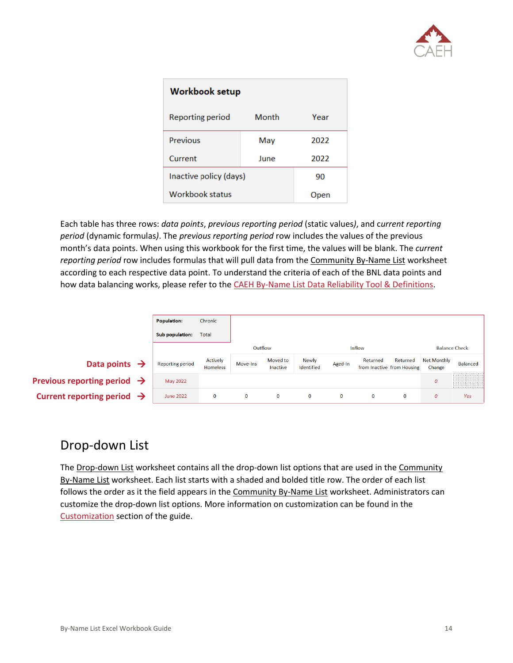

| <b>Workbook setup</b>  |       |      |  |  |  |  |
|------------------------|-------|------|--|--|--|--|
| Reporting period       | Month | Year |  |  |  |  |
| Previous               | May   | 2022 |  |  |  |  |
| Current                | 2022  |      |  |  |  |  |
| Inactive policy (days) | 90    |      |  |  |  |  |
| <b>Workbook status</b> |       | Open |  |  |  |  |

Each table has three rows: *data points*, *previous reporting period* (static values*)*, and c*urrent reporting period* (dynamic formulas*)*. The *previous reporting period* row includes the values of the previous month's data points. When using this workbook for the first time, the values will be blank. The *current reporting period* row includes formulas that will pull data from the Community By-Name List worksheet according to each respective data point. To understand the criteria of each of the BNL data points and how data balancing works, please refer to the [CAEH By-Name List Data Reliability Tool & Definitions.](https://docs.google.com/spreadsheets/d/10jOlWL1X3XnE4znZSg7Y__0QiRzACNAmbQDLdOCUp3s/edit#gid=448876506)

|                                         | <b>Population:</b>      | Chronic                     |             |                      |                            |              |                                        |          |                              |                      |
|-----------------------------------------|-------------------------|-----------------------------|-------------|----------------------|----------------------------|--------------|----------------------------------------|----------|------------------------------|----------------------|
|                                         | Sub population:         | Total                       |             |                      |                            |              |                                        |          |                              |                      |
|                                         |                         |                             | Outflow     |                      |                            |              | <b>Inflow</b>                          |          |                              | <b>Balance Check</b> |
| Data points $\rightarrow$               | <b>Reporting period</b> | Actively<br><b>Homeless</b> | Move-Ins    | Moved to<br>Inactive | <b>Newly</b><br>Identified | Aged-In      | Returned<br>from Inactive from Housing | Returned | <b>Net Monthly</b><br>Change | <b>Balanced</b>      |
| Previous reporting period $\rightarrow$ | <b>May 2022</b>         |                             |             |                      |                            |              |                                        |          | $\boldsymbol{0}$             | <u>allinin</u>       |
| Current reporting period $\rightarrow$  | <b>June 2022</b>        | $\bf{0}$                    | $\mathbf 0$ | $\bf{0}$             | $\mathbf{O}$               | $\mathbf{O}$ | $\bf{0}$                               | 0        | $\boldsymbol{0}$             | Yes                  |

### <span id="page-15-0"></span>Drop-down List

The Drop-down List worksheet contains all the drop-down list options that are used in the Community By-Name List worksheet. Each list starts with a shaded and bolded title row. The order of each list follows the order as it the field appears in the Community By-Name List worksheet. Administrators can customize the drop-down list options. More information on customization can be found in the [Customization](#page-40-0) section of the guide.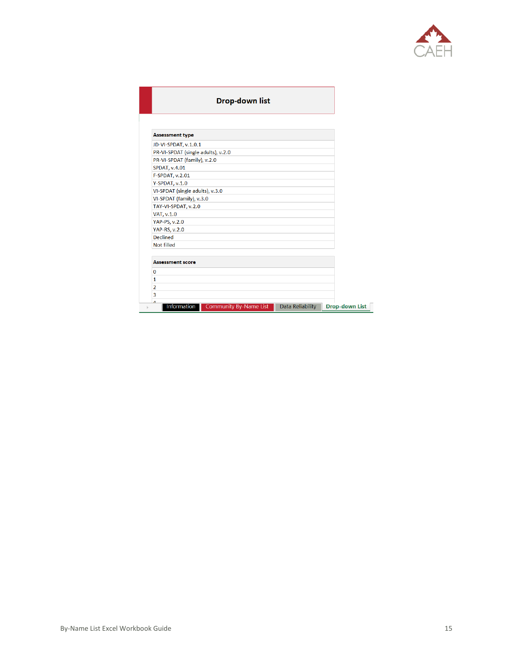

#### **Drop-down list**

| <b>Assessment type</b>             |  |  |
|------------------------------------|--|--|
| JD-VI-SPDAT, v.1.0.1               |  |  |
| PR-VI-SPDAT (single adults), v.2.0 |  |  |
| PR-VI-SPDAT (family), v.2.0        |  |  |
| <b>SPDAT, v.4.01</b>               |  |  |
| F-SPDAT, v.2.01                    |  |  |
| Y-SPDAT, v.1.0                     |  |  |
| VI-SPDAT (single adults), v.3.0    |  |  |
| VI-SPDAT (family), v.3.0           |  |  |
| TAY-VI-SPDAT, v.2.0                |  |  |
| VAT, v.1.0                         |  |  |
| YAP-PS, v.2.0                      |  |  |
| <b>YAP-RS, v.2.0</b>               |  |  |
| <b>Declined</b>                    |  |  |
| Not filled                         |  |  |
| <b>Assessment score</b>            |  |  |
| O                                  |  |  |
| 1                                  |  |  |
| 2                                  |  |  |
| 3                                  |  |  |
| Λ                                  |  |  |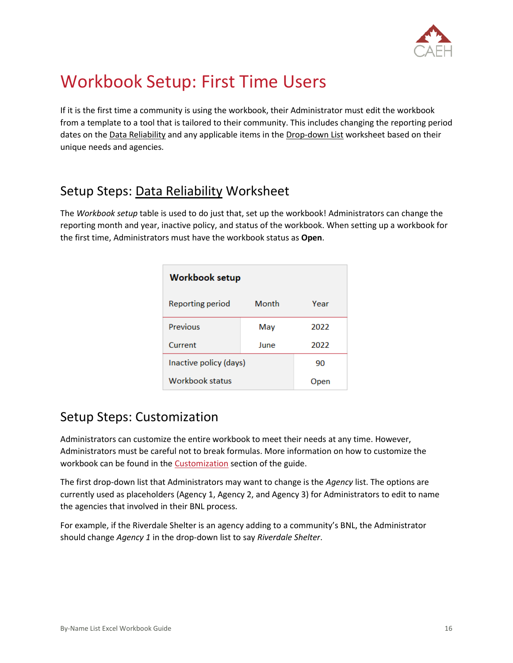

## <span id="page-17-0"></span>Workbook Setup: First Time Users

If it is the first time a community is using the workbook, their Administrator must edit the workbook from a template to a tool that is tailored to their community. This includes changing the reporting period dates on the Data Reliability and any applicable items in the Drop-down List worksheet based on their unique needs and agencies.

## <span id="page-17-1"></span>Setup Steps: Data Reliability Worksheet

The *Workbook setup* table is used to do just that, set up the workbook! Administrators can change the reporting month and year, inactive policy, and status of the workbook. When setting up a workbook for the first time, Administrators must have the workbook status as **Open**.

| <b>Workbook setup</b>  |       |      |  |  |  |  |
|------------------------|-------|------|--|--|--|--|
| Reporting period       | Month | Year |  |  |  |  |
| Previous               | May   | 2022 |  |  |  |  |
| Current                | June  | 2022 |  |  |  |  |
| Inactive policy (days) | 90    |      |  |  |  |  |
| Workbook status        |       | Jpen |  |  |  |  |

## <span id="page-17-2"></span>Setup Steps: Customization

Administrators can customize the entire workbook to meet their needs at any time. However, Administrators must be careful not to break formulas. More information on how to customize the workbook can be found in the **Customization** section of the guide.

The first drop-down list that Administrators may want to change is the *Agency* list. The options are currently used as placeholders (Agency 1, Agency 2, and Agency 3) for Administrators to edit to name the agencies that involved in their BNL process.

For example, if the Riverdale Shelter is an agency adding to a community's BNL, the Administrator should change *Agency 1* in the drop-down list to say *Riverdale Shelter*.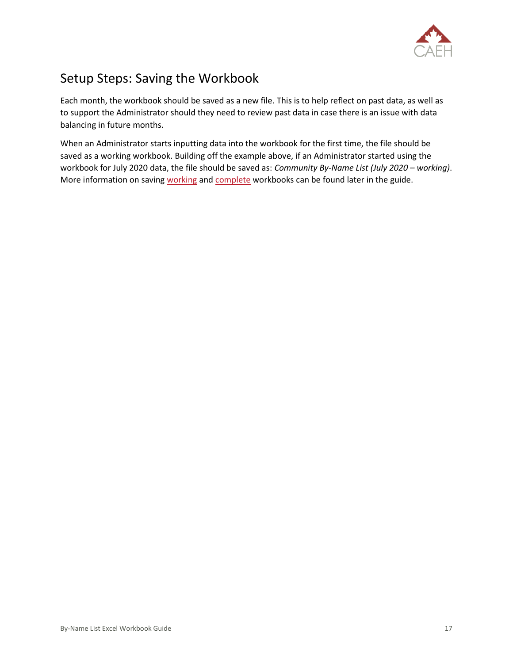

## <span id="page-18-0"></span>Setup Steps: Saving the Workbook

Each month, the workbook should be saved as a new file. This is to help reflect on past data, as well as to support the Administrator should they need to review past data in case there is an issue with data balancing in future months.

When an Administrator starts inputting data into the workbook for the first time, the file should be saved as a working workbook. Building off the example above, if an Administrator started using the workbook for July 2020 data, the file should be saved as: *Community By-Name List (July 2020 – working)*. More information on saving [working](#page-34-0) and [complete](#page-33-1) workbooks can be found later in the guide.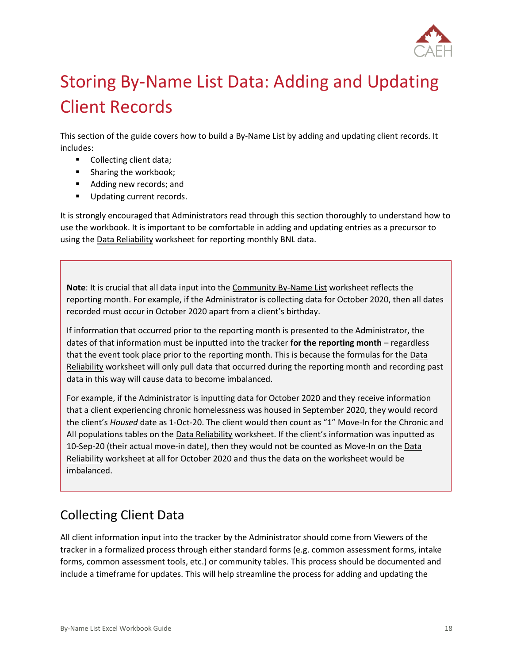

# <span id="page-19-0"></span>Storing By-Name List Data: Adding and Updating Client Records

This section of the guide covers how to build a By-Name List by adding and updating client records. It includes:

- Collecting client data;
- Sharing the workbook;
- Adding new records; and
- Updating current records.

It is strongly encouraged that Administrators read through this section thoroughly to understand how to use the workbook. It is important to be comfortable in adding and updating entries as a precursor to using the Data Reliability worksheet for reporting monthly BNL data.

**Note**: It is crucial that all data input into the Community By-Name List worksheet reflects the reporting month. For example, if the Administrator is collecting data for October 2020, then all dates recorded must occur in October 2020 apart from a client's birthday.

If information that occurred prior to the reporting month is presented to the Administrator, the dates of that information must be inputted into the tracker **for the reporting month** – regardless that the event took place prior to the reporting month. This is because the formulas for the Data Reliability worksheet will only pull data that occurred during the reporting month and recording past data in this way will cause data to become imbalanced.

For example, if the Administrator is inputting data for October 2020 and they receive information that a client experiencing chronic homelessness was housed in September 2020, they would record the client's *Housed* date as 1-Oct-20. The client would then count as "1" Move-In for the Chronic and All populations tables on the Data Reliability worksheet. If the client's information was inputted as 10-Sep-20 (their actual move-in date), then they would not be counted as Move-In on the Data Reliability worksheet at all for October 2020 and thus the data on the worksheet would be imbalanced.

## <span id="page-19-1"></span>Collecting Client Data

All client information input into the tracker by the Administrator should come from Viewers of the tracker in a formalized process through either standard forms (e.g. common assessment forms, intake forms, common assessment tools, etc.) or community tables. This process should be documented and include a timeframe for updates. This will help streamline the process for adding and updating the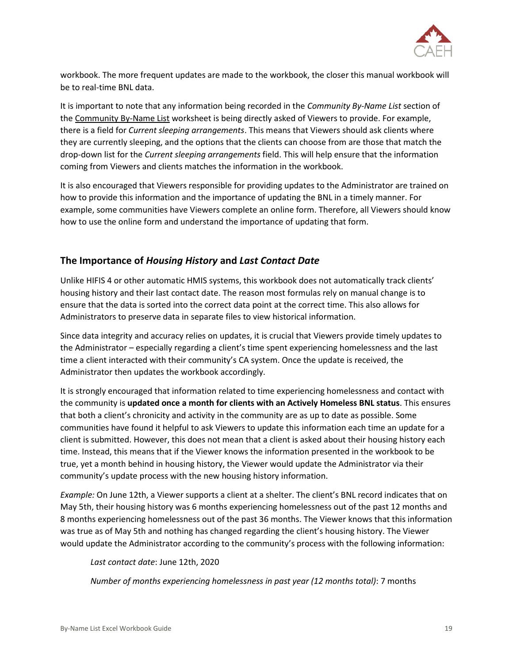

workbook. The more frequent updates are made to the workbook, the closer this manual workbook will be to real-time BNL data.

It is important to note that any information being recorded in the *Community By-Name List* section of the Community By-Name List worksheet is being directly asked of Viewers to provide. For example, there is a field for *Current sleeping arrangements*. This means that Viewers should ask clients where they are currently sleeping, and the options that the clients can choose from are those that match the drop-down list for the *Current sleeping arrangements* field. This will help ensure that the information coming from Viewers and clients matches the information in the workbook.

It is also encouraged that Viewers responsible for providing updates to the Administrator are trained on how to provide this information and the importance of updating the BNL in a timely manner. For example, some communities have Viewers complete an online form. Therefore, all Viewers should know how to use the online form and understand the importance of updating that form.

#### **The Importance of** *Housing History* **and** *Last Contact Date*

Unlike HIFIS 4 or other automatic HMIS systems, this workbook does not automatically track clients' housing history and their last contact date. The reason most formulas rely on manual change is to ensure that the data is sorted into the correct data point at the correct time. This also allows for Administrators to preserve data in separate files to view historical information.

Since data integrity and accuracy relies on updates, it is crucial that Viewers provide timely updates to the Administrator – especially regarding a client's time spent experiencing homelessness and the last time a client interacted with their community's CA system. Once the update is received, the Administrator then updates the workbook accordingly.

It is strongly encouraged that information related to time experiencing homelessness and contact with the community is **updated once a month for clients with an Actively Homeless BNL status**. This ensures that both a client's chronicity and activity in the community are as up to date as possible. Some communities have found it helpful to ask Viewers to update this information each time an update for a client is submitted. However, this does not mean that a client is asked about their housing history each time. Instead, this means that if the Viewer knows the information presented in the workbook to be true, yet a month behind in housing history, the Viewer would update the Administrator via their community's update process with the new housing history information.

*Example:* On June 12th, a Viewer supports a client at a shelter. The client's BNL record indicates that on May 5th, their housing history was 6 months experiencing homelessness out of the past 12 months and 8 months experiencing homelessness out of the past 36 months. The Viewer knows that this information was true as of May 5th and nothing has changed regarding the client's housing history. The Viewer would update the Administrator according to the community's process with the following information:

*Last contact date*: June 12th, 2020

*Number of months experiencing homelessness in past year (12 months total)*: 7 months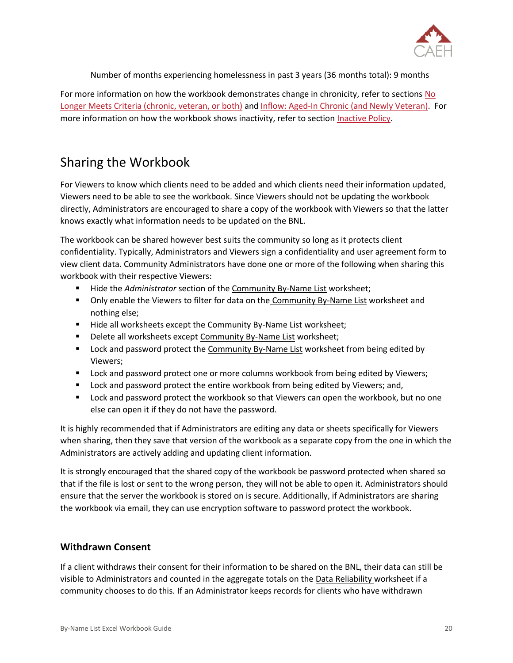

Number of months experiencing homelessness in past 3 years (36 months total): 9 months

For more information on how the workbook demonstrates change in chronicity, refer to sections [No](#page-26-0)  [Longer Meets Criteria \(chronic, veteran, or both\)](#page-26-0) and [Inflow: Aged-In Chronic \(and Newly Veteran\).](#page-30-0) For more information on how the workbook shows inactivity, refer to section [Inactive Policy.](#page-41-0)

## <span id="page-21-0"></span>Sharing the Workbook

For Viewers to know which clients need to be added and which clients need their information updated, Viewers need to be able to see the workbook. Since Viewers should not be updating the workbook directly, Administrators are encouraged to share a copy of the workbook with Viewers so that the latter knows exactly what information needs to be updated on the BNL.

The workbook can be shared however best suits the community so long as it protects client confidentiality. Typically, Administrators and Viewers sign a confidentiality and user agreement form to view client data. Community Administrators have done one or more of the following when sharing this workbook with their respective Viewers:

- Hide the *Administrator* section of the **Community By-Name List worksheet**;
- Only enable the Viewers to filter for data on the Community By-Name List worksheet and nothing else;
- Hide all worksheets except the Community By-Name List worksheet;
- Delete all worksheets except Community By-Name List worksheet;
- **EXECT** Lock and password protect the Community By-Name List worksheet from being edited by Viewers;
- **■** Lock and password protect one or more columns workbook from being edited by Viewers;
- **EXECT** Lock and password protect the entire workbook from being edited by Viewers; and,
- Lock and password protect the workbook so that Viewers can open the workbook, but no one else can open it if they do not have the password.

It is highly recommended that if Administrators are editing any data or sheets specifically for Viewers when sharing, then they save that version of the workbook as a separate copy from the one in which the Administrators are actively adding and updating client information.

It is strongly encouraged that the shared copy of the workbook be password protected when shared so that if the file is lost or sent to the wrong person, they will not be able to open it. Administrators should ensure that the server the workbook is stored on is secure. Additionally, if Administrators are sharing the workbook via email, they can use encryption software to password protect the workbook.

#### **Withdrawn Consent**

If a client withdraws their consent for their information to be shared on the BNL, their data can still be visible to Administrators and counted in the aggregate totals on the Data Reliability worksheet if a community chooses to do this. If an Administrator keeps records for clients who have withdrawn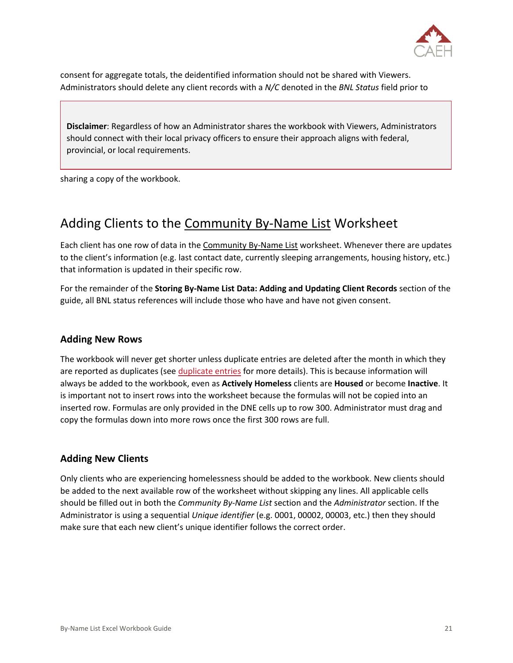

consent for aggregate totals, the deidentified information should not be shared with Viewers. Administrators should delete any client records with a *N/C* denoted in the *BNL Status* field prior to

**Disclaimer**: Regardless of how an Administrator shares the workbook with Viewers, Administrators should connect with their local privacy officers to ensure their approach aligns with federal, provincial, or local requirements.

sharing a copy of the workbook.

### <span id="page-22-0"></span>Adding Clients to the Community By-Name List Worksheet

Each client has one row of data in the Community By-Name List worksheet. Whenever there are updates to the client's information (e.g. last contact date, currently sleeping arrangements, housing history, etc.) that information is updated in their specific row.

For the remainder of the **Storing By-Name List Data: Adding and Updating Client Records** section of the guide, all BNL status references will include those who have and have not given consent.

#### **Adding New Rows**

The workbook will never get shorter unless duplicate entries are deleted after the month in which they are reported as duplicates (se[e duplicate entries](#page-25-0) for more details). This is because information will always be added to the workbook, even as **Actively Homeless** clients are **Housed** or become **Inactive**. It is important not to insert rows into the worksheet because the formulas will not be copied into an inserted row. Formulas are only provided in the DNE cells up to row 300. Administrator must drag and copy the formulas down into more rows once the first 300 rows are full.

#### <span id="page-22-1"></span>**Adding New Clients**

Only clients who are experiencing homelessness should be added to the workbook. New clients should be added to the next available row of the worksheet without skipping any lines. All applicable cells should be filled out in both the *Community By-Name List* section and the *Administrator* section. If the Administrator is using a sequential *Unique identifier* (e.g. 0001, 00002, 00003, etc.) then they should make sure that each new client's unique identifier follows the correct order.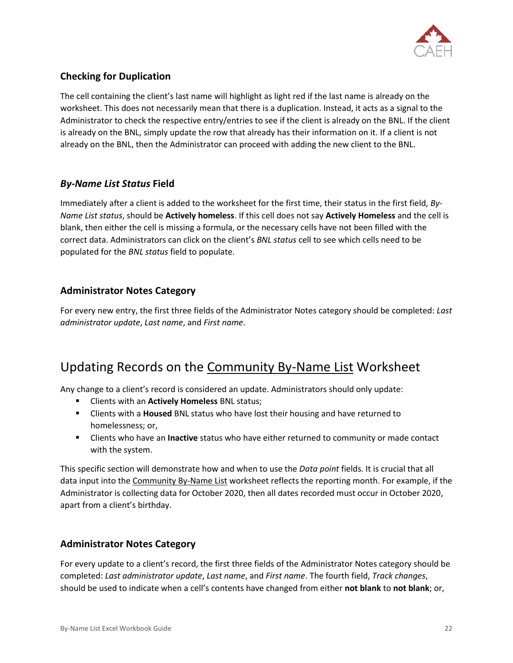

### **Checking for Duplication**

The cell containing the client's last name will highlight as light red if the last name is already on the worksheet. This does not necessarily mean that there is a duplication. Instead, it acts as a signal to the Administrator to check the respective entry/entries to see if the client is already on the BNL. If the client is already on the BNL, simply update the row that already has their information on it. If a client is not already on the BNL, then the Administrator can proceed with adding the new client to the BNL.

#### *By-Name List Status* **Field**

Immediately after a client is added to the worksheet for the first time, their status in the first field, *By-Name List status*, should be **Actively homeless**. If this cell does not say **Actively Homeless** and the cell is blank, then either the cell is missing a formula, or the necessary cells have not been filled with the correct data. Administrators can click on the client's *BNL status* cell to see which cells need to be populated for the *BNL status* field to populate.

#### **Administrator Notes Category**

For every new entry, the first three fields of the Administrator Notes category should be completed: *Last administrator update*, *Last name*, and *First name*.

### <span id="page-23-0"></span>Updating Records on the Community By-Name List Worksheet

Any change to a client's record is considered an update. Administrators should only update:

- Clients with an **Actively Homeless** BNL status;
- **EXECT** Clients with a **Housed** BNL status who have lost their housing and have returned to homelessness; or,
- **EXECT** Clients who have an **Inactive** status who have either returned to community or made contact with the system.

This specific section will demonstrate how and when to use the *Data point* fields. It is crucial that all data input into the Community By-Name List worksheet reflects the reporting month. For example, if the Administrator is collecting data for October 2020, then all dates recorded must occur in October 2020, apart from a client's birthday.

#### **Administrator Notes Category**

For every update to a client's record, the first three fields of the Administrator Notes category should be completed: *Last administrator update*, *Last name*, and *First name*. The fourth field, *Track changes*, should be used to indicate when a cell's contents have changed from either **not blank** to **not blank**; or,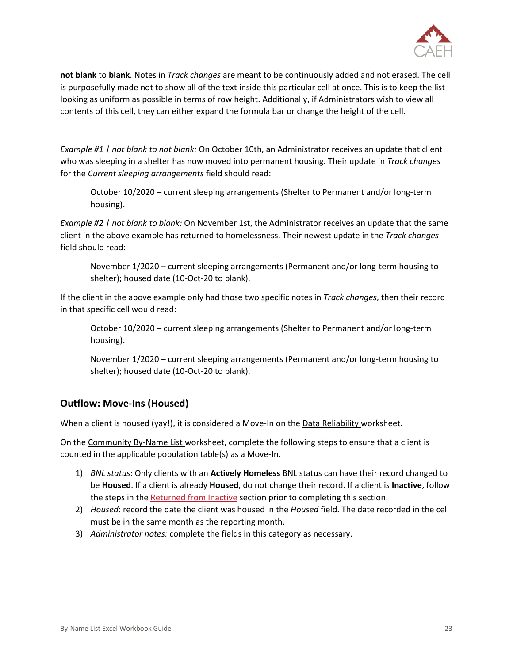

**not blank** to **blank**. Notes in *Track changes* are meant to be continuously added and not erased. The cell is purposefully made not to show all of the text inside this particular cell at once. This is to keep the list looking as uniform as possible in terms of row height. Additionally, if Administrators wish to view all contents of this cell, they can either expand the formula bar or change the height of the cell.

*Example #1 | not blank to not blank:* On October 10th, an Administrator receives an update that client who was sleeping in a shelter has now moved into permanent housing. Their update in *Track changes*  for the *Current sleeping arrangements* field should read:

October 10/2020 – current sleeping arrangements (Shelter to Permanent and/or long-term housing).

*Example #2 | not blank to blank:* On November 1st, the Administrator receives an update that the same client in the above example has returned to homelessness. Their newest update in the *Track changes*  field should read:

November 1/2020 – current sleeping arrangements (Permanent and/or long-term housing to shelter); housed date (10-Oct-20 to blank).

If the client in the above example only had those two specific notes in *Track changes*, then their record in that specific cell would read:

October 10/2020 – current sleeping arrangements (Shelter to Permanent and/or long-term housing).

November 1/2020 – current sleeping arrangements (Permanent and/or long-term housing to shelter); housed date (10-Oct-20 to blank).

#### **Outflow: Move-Ins (Housed)**

When a client is housed (yay!), it is considered a Move-In on the Data Reliability worksheet.

On the Community By-Name List worksheet, complete the following steps to ensure that a client is counted in the applicable population table(s) as a Move-In.

- 1) *BNL status*: Only clients with an **Actively Homeless** BNL status can have their record changed to be **Housed**. If a client is already **Housed**, do not change their record. If a client is **Inactive**, follow the steps in th[e Returned from Inactive](#page-30-1) section prior to completing this section.
- 2) *Housed*: record the date the client was housed in the *Housed* field. The date recorded in the cell must be in the same month as the reporting month.
- 3) *Administrator notes:* complete the fields in this category as necessary.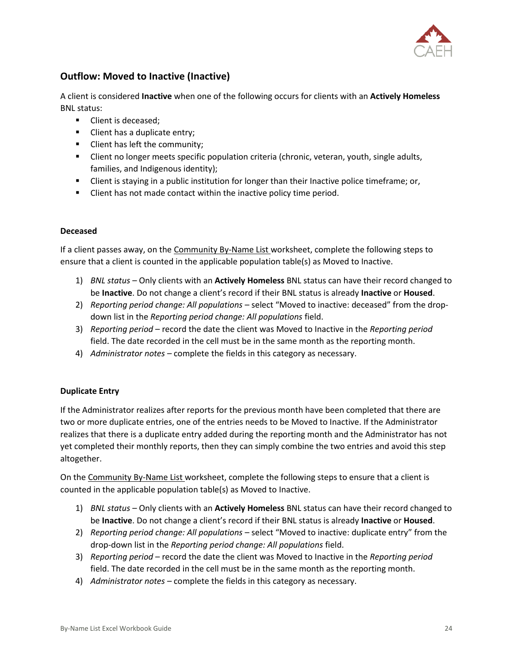

#### **Outflow: Moved to Inactive (Inactive)**

A client is considered **Inactive** when one of the following occurs for clients with an **Actively Homeless**  BNL status:

- Client is deceased;
- Client has a duplicate entry;
- **EXECUTE:** Client has left the community;
- **EXECT** Client no longer meets specific population criteria (chronic, veteran, youth, single adults, families, and Indigenous identity);
- Client is staying in a public institution for longer than their Inactive police timeframe; or,
- **EXECT** Client has not made contact within the inactive policy time period.

#### **Deceased**

If a client passes away, on the Community By-Name List worksheet, complete the following steps to ensure that a client is counted in the applicable population table(s) as Moved to Inactive.

- 1) *BNL status* Only clients with an **Actively Homeless** BNL status can have their record changed to be **Inactive**. Do not change a client's record if their BNL status is already **Inactive** or **Housed**.
- 2) *Reporting period change: All populations* select "Moved to inactive: deceased" from the dropdown list in the *Reporting period change: All populations* field.
- 3) *Reporting period* record the date the client was Moved to Inactive in the *Reporting period* field. The date recorded in the cell must be in the same month as the reporting month.
- 4) *Administrator notes –* complete the fields in this category as necessary.

#### <span id="page-25-0"></span>**Duplicate Entry**

If the Administrator realizes after reports for the previous month have been completed that there are two or more duplicate entries, one of the entries needs to be Moved to Inactive. If the Administrator realizes that there is a duplicate entry added during the reporting month and the Administrator has not yet completed their monthly reports, then they can simply combine the two entries and avoid this step altogether.

On the Community By-Name List worksheet, complete the following steps to ensure that a client is counted in the applicable population table(s) as Moved to Inactive.

- 1) *BNL status* Only clients with an **Actively Homeless** BNL status can have their record changed to be **Inactive**. Do not change a client's record if their BNL status is already **Inactive** or **Housed**.
- 2) *Reporting period change: All populations* select "Moved to inactive: duplicate entry" from the drop-down list in the *Reporting period change: All populations* field.
- 3) *Reporting period*  record the date the client was Moved to Inactive in the *Reporting period*  field. The date recorded in the cell must be in the same month as the reporting month.
- 4) *Administrator notes –* complete the fields in this category as necessary.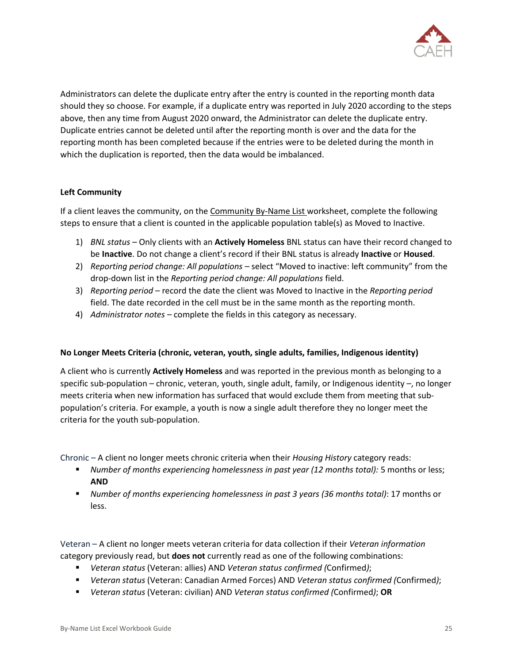

Administrators can delete the duplicate entry after the entry is counted in the reporting month data should they so choose. For example, if a duplicate entry was reported in July 2020 according to the steps above, then any time from August 2020 onward, the Administrator can delete the duplicate entry. Duplicate entries cannot be deleted until after the reporting month is over and the data for the reporting month has been completed because if the entries were to be deleted during the month in which the duplication is reported, then the data would be imbalanced.

#### **Left Community**

If a client leaves the community, on the Community By-Name List worksheet, complete the following steps to ensure that a client is counted in the applicable population table(s) as Moved to Inactive.

- 1) *BNL status* Only clients with an **Actively Homeless** BNL status can have their record changed to be **Inactive**. Do not change a client's record if their BNL status is already **Inactive** or **Housed**.
- 2) *Reporting period change: All populations* select "Moved to inactive: left community" from the drop-down list in the *Reporting period change: All populations* field.
- 3) *Reporting period*  record the date the client was Moved to Inactive in the *Reporting period*  field. The date recorded in the cell must be in the same month as the reporting month.
- 4) *Administrator notes –* complete the fields in this category as necessary.

#### <span id="page-26-0"></span>**No Longer Meets Criteria (chronic, veteran, youth, single adults, families, Indigenous identity)**

A client who is currently **Actively Homeless** and was reported in the previous month as belonging to a specific sub-population – chronic, veteran, youth, single adult, family, or Indigenous identity –, no longer meets criteria when new information has surfaced that would exclude them from meeting that subpopulation's criteria. For example, a youth is now a single adult therefore they no longer meet the criteria for the youth sub-population.

Chronic – A client no longer meets chronic criteria when their *Housing History* category reads:

- *Number of months experiencing homelessness in past year (12 months total):* 5 months or less; **AND**
- *Number of months experiencing homelessness in past 3 years (36 months total)*: 17 months or less.

Veteran – A client no longer meets veteran criteria for data collection if their *Veteran information*  category previously read, but **does not** currently read as one of the following combinations:

- *Veteran status* (Veteran: allies) AND *Veteran status confirmed (*Confirmed*)*;
- *Veteran status* (Veteran: Canadian Armed Forces) AND *Veteran status confirmed (*Confirmed*)*;
- *Veteran status* (Veteran: civilian) AND *Veteran status confirmed (*Confirmed*)*; **OR**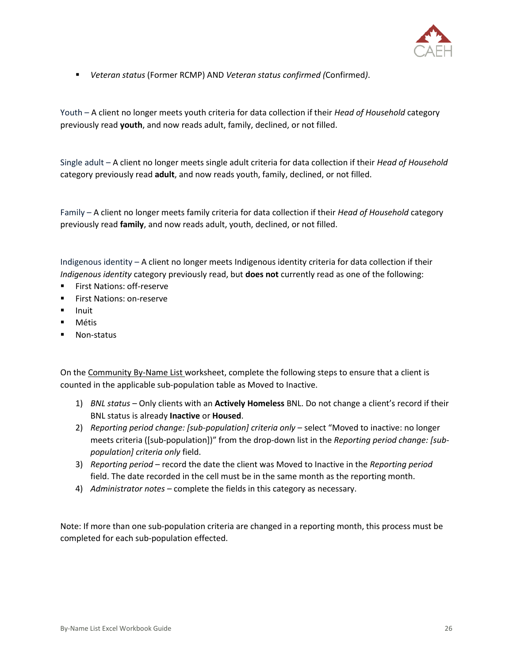

▪ *Veteran status* (Former RCMP) AND *Veteran status confirmed (*Confirmed*)*.

Youth – A client no longer meets youth criteria for data collection if their *Head of Household* category previously read **youth**, and now reads adult, family, declined, or not filled.

Single adult – A client no longer meets single adult criteria for data collection if their *Head of Household*  category previously read **adult**, and now reads youth, family, declined, or not filled.

Family – A client no longer meets family criteria for data collection if their *Head of Household* category previously read **family**, and now reads adult, youth, declined, or not filled.

Indigenous identity – A client no longer meets Indigenous identity criteria for data collection if their *Indigenous identity* category previously read, but **does not** currently read as one of the following:

- **First Nations: off-reserve**
- First Nations: on-reserve
- Inuit
- Métis
- Non-status

On the Community By-Name List worksheet, complete the following steps to ensure that a client is counted in the applicable sub-population table as Moved to Inactive.

- 1) *BNL status* Only clients with an **Actively Homeless** BNL. Do not change a client's record if their BNL status is already **Inactive** or **Housed**.
- 2) *Reporting period change: [sub-population] criteria only* select "Moved to inactive: no longer meets criteria ([sub-population])" from the drop-down list in the *Reporting period change: [subpopulation] criteria only* field.
- 3) *Reporting period* record the date the client was Moved to Inactive in the *Reporting period* field. The date recorded in the cell must be in the same month as the reporting month.
- 4) *Administrator notes –* complete the fields in this category as necessary.

Note: If more than one sub-population criteria are changed in a reporting month, this process must be completed for each sub-population effected.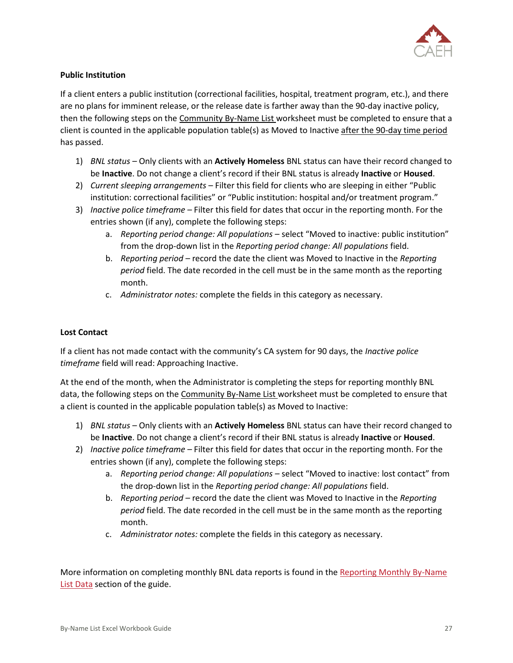

#### <span id="page-28-0"></span>**Public Institution**

If a client enters a public institution (correctional facilities, hospital, treatment program, etc.), and there are no plans for imminent release, or the release date is farther away than the 90-day inactive policy, then the following steps on the Community By-Name List worksheet must be completed to ensure that a client is counted in the applicable population table(s) as Moved to Inactive after the 90-day time period has passed.

- 1) *BNL status* Only clients with an **Actively Homeless** BNL status can have their record changed to be **Inactive**. Do not change a client's record if their BNL status is already **Inactive** or **Housed**.
- 2) *Current sleeping arrangements* Filter this field for clients who are sleeping in either "Public institution: correctional facilities" or "Public institution: hospital and/or treatment program."
- 3) *Inactive police timeframe –* Filter this field for dates that occur in the reporting month. For the entries shown (if any), complete the following steps:
	- a. *Reporting period change: All populations* select "Moved to inactive: public institution" from the drop-down list in the *Reporting period change: All populations* field.
	- b. *Reporting period –* record the date the client was Moved to Inactive in the *Reporting period* field. The date recorded in the cell must be in the same month as the reporting month.
	- c. *Administrator notes:* complete the fields in this category as necessary.

#### <span id="page-28-1"></span>**Lost Contact**

If a client has not made contact with the community's CA system for 90 days, the *Inactive police timeframe* field will read: Approaching Inactive.

At the end of the month, when the Administrator is completing the steps for reporting monthly BNL data, the following steps on the Community By-Name List worksheet must be completed to ensure that a client is counted in the applicable population table(s) as Moved to Inactive:

- 1) *BNL status* Only clients with an **Actively Homeless** BNL status can have their record changed to be **Inactive**. Do not change a client's record if their BNL status is already **Inactive** or **Housed**.
- 2) *Inactive police timeframe –* Filter this field for dates that occur in the reporting month. For the entries shown (if any), complete the following steps:
	- a. *Reporting period change: All populations –* select "Moved to inactive: lost contact" from the drop-down list in the *Reporting period change: All populations* field.
	- b. *Reporting period –* record the date the client was Moved to Inactive in the *Reporting period* field. The date recorded in the cell must be in the same month as the reporting month.
	- c. *Administrator notes:* complete the fields in this category as necessary.

More information on completing monthly BNL data reports is found in the Reporting Monthly By-Name [List Data](#page-32-0) section of the guide.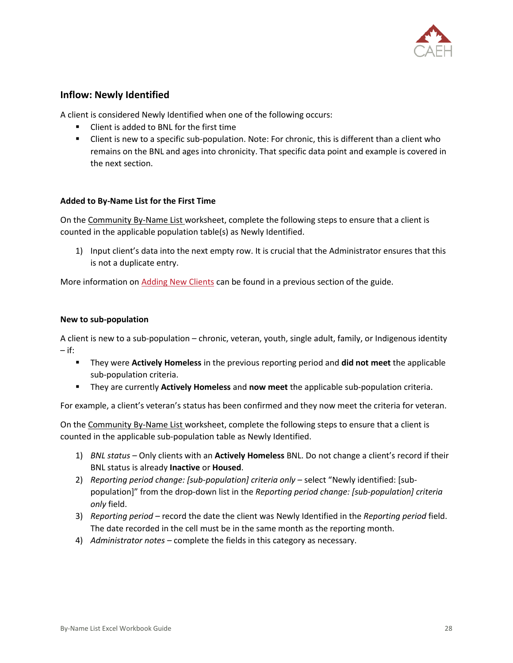

#### **Inflow: Newly Identified**

A client is considered Newly Identified when one of the following occurs:

- **Client is added to BNL for the first time**
- Client is new to a specific sub-population. Note: For chronic, this is different than a client who remains on the BNL and ages into chronicity. That specific data point and example is covered in the next section.

#### **Added to By-Name List for the First Time**

On the Community By-Name List worksheet, complete the following steps to ensure that a client is counted in the applicable population table(s) as Newly Identified.

1) Input client's data into the next empty row. It is crucial that the Administrator ensures that this is not a duplicate entry.

More information o[n Adding New Clients](#page-22-1) can be found in a previous section of the guide.

#### **New to sub-population**

A client is new to a sub-population – chronic, veteran, youth, single adult, family, or Indigenous identity  $-$  if:

- They were **Actively Homeless** in the previous reporting period and **did not meet** the applicable sub-population criteria.
- They are currently **Actively Homeless** and **now meet** the applicable sub-population criteria.

For example, a client's veteran's status has been confirmed and they now meet the criteria for veteran.

On the Community By-Name List worksheet, complete the following steps to ensure that a client is counted in the applicable sub-population table as Newly Identified.

- 1) *BNL status* Only clients with an **Actively Homeless** BNL. Do not change a client's record if their BNL status is already **Inactive** or **Housed**.
- 2) *Reporting period change: [sub-population] criteria only* select "Newly identified: [subpopulation]" from the drop-down list in the *Reporting period change: [sub-population] criteria only* field.
- 3) *Reporting period –* record the date the client was Newly Identified in the *Reporting period* field. The date recorded in the cell must be in the same month as the reporting month.
- 4) *Administrator notes –* complete the fields in this category as necessary.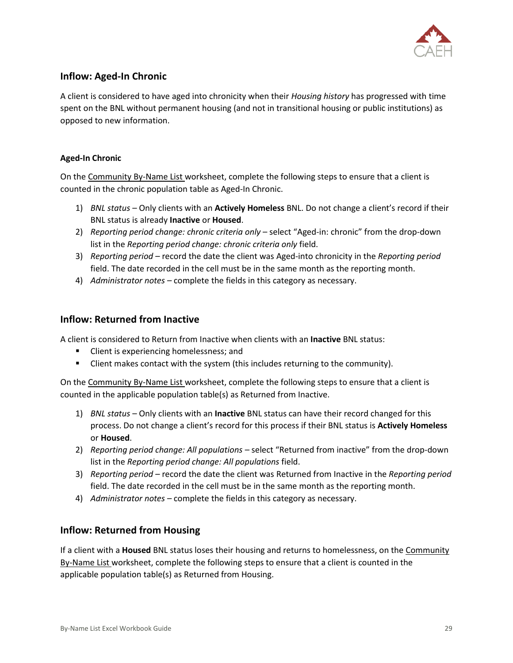

#### <span id="page-30-0"></span>**Inflow: Aged-In Chronic**

A client is considered to have aged into chronicity when their *Housing history* has progressed with time spent on the BNL without permanent housing (and not in transitional housing or public institutions) as opposed to new information.

#### **Aged-In Chronic**

On the Community By-Name List worksheet, complete the following steps to ensure that a client is counted in the chronic population table as Aged-In Chronic.

- 1) *BNL status* Only clients with an **Actively Homeless** BNL. Do not change a client's record if their BNL status is already **Inactive** or **Housed**.
- 2) *Reporting period change: chronic criteria only* select "Aged-in: chronic" from the drop-down list in the *Reporting period change: chronic criteria only* field.
- 3) *Reporting period –* record the date the client was Aged-into chronicity in the *Reporting period*  field. The date recorded in the cell must be in the same month as the reporting month.
- 4) *Administrator notes –* complete the fields in this category as necessary.

#### <span id="page-30-1"></span>**Inflow: Returned from Inactive**

A client is considered to Return from Inactive when clients with an **Inactive** BNL status:

- Client is experiencing homelessness; and
- **EXECT** Client makes contact with the system (this includes returning to the community).

On the Community By-Name List worksheet, complete the following steps to ensure that a client is counted in the applicable population table(s) as Returned from Inactive.

- 1) *BNL status* Only clients with an **Inactive** BNL status can have their record changed for this process. Do not change a client's record for this process if their BNL status is **Actively Homeless**  or **Housed**.
- 2) *Reporting period change: All populations –* select "Returned from inactive" from the drop-down list in the *Reporting period change: All populations* field.
- 3) *Reporting period –* record the date the client was Returned from Inactive in the *Reporting period*  field. The date recorded in the cell must be in the same month as the reporting month.
- 4) *Administrator notes –* complete the fields in this category as necessary.

#### **Inflow: Returned from Housing**

If a client with a **Housed** BNL status loses their housing and returns to homelessness, on the Community By-Name List worksheet, complete the following steps to ensure that a client is counted in the applicable population table(s) as Returned from Housing.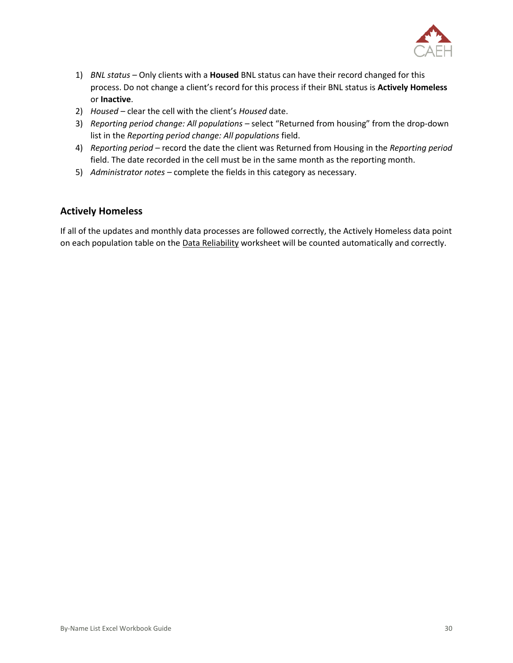

- 1) *BNL status* Only clients with a **Housed** BNL status can have their record changed for this process. Do not change a client's record for this process if their BNL status is **Actively Homeless**  or **Inactive**.
- 2) *Housed –* clear the cell with the client's *Housed* date.
- 3) *Reporting period change: All populations –* select "Returned from housing" from the drop-down list in the *Reporting period change: All populations* field.
- 4) *Reporting period –* record the date the client was Returned from Housing in the *Reporting period*  field. The date recorded in the cell must be in the same month as the reporting month.
- 5) *Administrator notes –* complete the fields in this category as necessary.

#### **Actively Homeless**

If all of the updates and monthly data processes are followed correctly, the Actively Homeless data point on each population table on the Data Reliability worksheet will be counted automatically and correctly.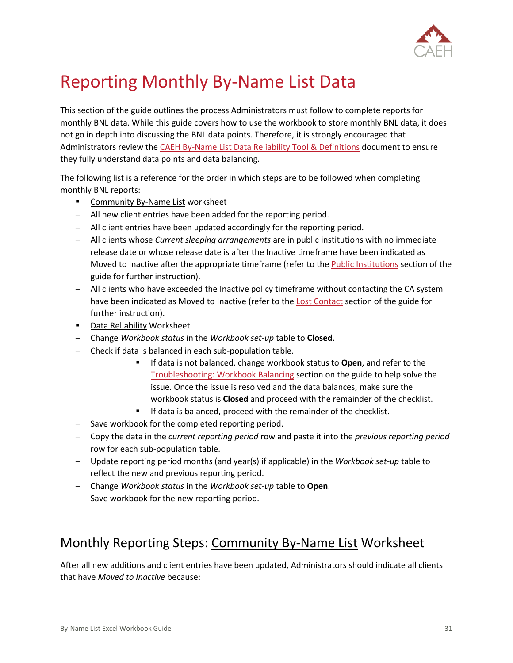

## <span id="page-32-0"></span>Reporting Monthly By-Name List Data

This section of the guide outlines the process Administrators must follow to complete reports for monthly BNL data. While this guide covers how to use the workbook to store monthly BNL data, it does not go in depth into discussing the BNL data points. Therefore, it is strongly encouraged that Administrators review the [CAEH By-Name List Data Reliability Tool & Definitions](https://docs.google.com/spreadsheets/d/10jOlWL1X3XnE4znZSg7Y__0QiRzACNAmbQDLdOCUp3s/edit#gid=448876506) document to ensure they fully understand data points and data balancing.

The following list is a reference for the order in which steps are to be followed when completing monthly BNL reports:

- **EXECOMMUNICAL COMMUNIOUS** Community By-Name List worksheet
- − All new client entries have been added for the reporting period.
- − All client entries have been updated accordingly for the reporting period.
- − All clients whose *Current sleeping arrangements* are in public institutions with no immediate release date or whose release date is after the Inactive timeframe have been indicated as Moved to Inactive after the appropriate timeframe (refer to th[e Public Institutions](#page-28-0) section of the guide for further instruction).
- − All clients who have exceeded the Inactive policy timeframe without contacting the CA system have been indicated as Moved to Inactive (refer to th[e Lost Contact](#page-28-1) section of the guide for further instruction).
- Data Reliability Worksheet
- − Change *Workbook status* in the *Workbook set-up* table to **Closed**.
- − Check if data is balanced in each sub-population table.
	- If data is not balanced, change workbook status to **Open**, and refer to the [Troubleshooting: Workbook Balancing](#page-35-0) section on the guide to help solve the issue. Once the issue is resolved and the data balances, make sure the workbook status is **Closed** and proceed with the remainder of the checklist.
	- If data is balanced, proceed with the remainder of the checklist.
- − Save workbook for the completed reporting period.
- − Copy the data in the *current reporting period* row and paste it into the *previous reporting period*  row for each sub-population table.
- − Update reporting period months (and year(s) if applicable) in the *Workbook set-up* table to reflect the new and previous reporting period.
- − Change *Workbook status* in the *Workbook set-up* table to **Open**.
- − Save workbook for the new reporting period.

### <span id="page-32-1"></span>Monthly Reporting Steps: Community By-Name List Worksheet

After all new additions and client entries have been updated, Administrators should indicate all clients that have *Moved to Inactive* because: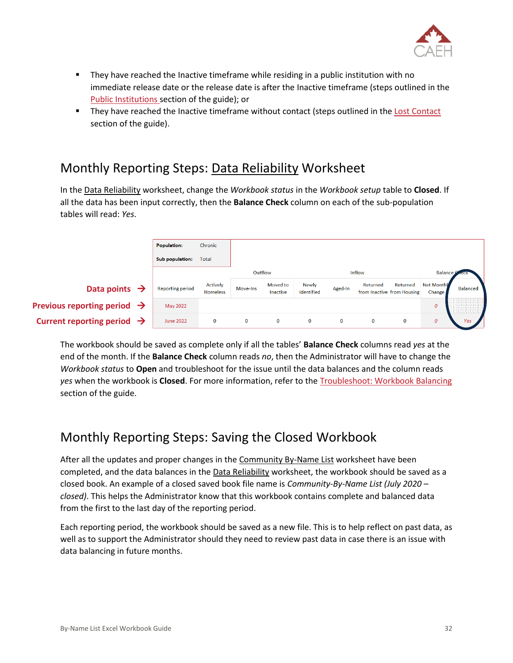

- They have reached the Inactive timeframe while residing in a public institution with no immediate release date or the release date is after the Inactive timeframe (steps outlined in the [Public Institutions](#page-28-0) section of the guide); or
- They have reached the Inactive timeframe without contact (steps outlined in th[e Lost Contact](#page-28-1) section of the guide).

## <span id="page-33-0"></span>Monthly Reporting Steps: Data Reliability Worksheet

In the Data Reliability worksheet, change the *Workbook status* in the *Workbook setup* table to **Closed**. If all the data has been input correctly, then the **Balance Check** column on each of the sub-population tables will read: *Yes*.

|                                         | <b>Population:</b>      | Chronic                            |             |                      |                            |         |                                        |          |                       |                 |
|-----------------------------------------|-------------------------|------------------------------------|-------------|----------------------|----------------------------|---------|----------------------------------------|----------|-----------------------|-----------------|
|                                         | Sub population:         | <b>Total</b>                       |             |                      |                            |         |                                        |          |                       |                 |
|                                         |                         |                                    | Outflow     |                      |                            |         | <b>Inflow</b>                          |          | <b>Balance</b>        |                 |
| Data points $\rightarrow$               | <b>Reporting period</b> | <b>Actively</b><br><b>Homeless</b> | Move-Ins    | Moved to<br>Inactive | <b>Newly</b><br>Identified | Aged-In | Returned<br>from Inactive from Housing | Returned | Net Monthly<br>Change | <b>Balanced</b> |
| Previous reporting period $\rightarrow$ | May 2022                |                                    |             |                      |                            |         |                                        |          | 0                     |                 |
| Current reporting period $\rightarrow$  | <b>June 2022</b>        | 0                                  | $\mathbf 0$ | $\mathbf 0$          | $\mathbf{O}$               | 0       | $\mathbf 0$                            | $\bf{0}$ | 0                     | <b>Yes</b>      |

The workbook should be saved as complete only if all the tables' **Balance Check** columns read *yes* at the end of the month. If the **Balance Check** column reads *no*, then the Administrator will have to change the *Workbook status* to **Open** and troubleshoot for the issue until the data balances and the column reads *yes* when the workbook is **Closed**. For more information, refer to the [Troubleshoot: Workbook Balancing](#page-35-0) section of the guide.

## <span id="page-33-1"></span>Monthly Reporting Steps: Saving the Closed Workbook

After all the updates and proper changes in the Community By-Name List worksheet have been completed, and the data balances in the Data Reliability worksheet, the workbook should be saved as a closed book. An example of a closed saved book file name is *Community-By-Name List (July 2020 – closed)*. This helps the Administrator know that this workbook contains complete and balanced data from the first to the last day of the reporting period.

Each reporting period, the workbook should be saved as a new file. This is to help reflect on past data, as well as to support the Administrator should they need to review past data in case there is an issue with data balancing in future months.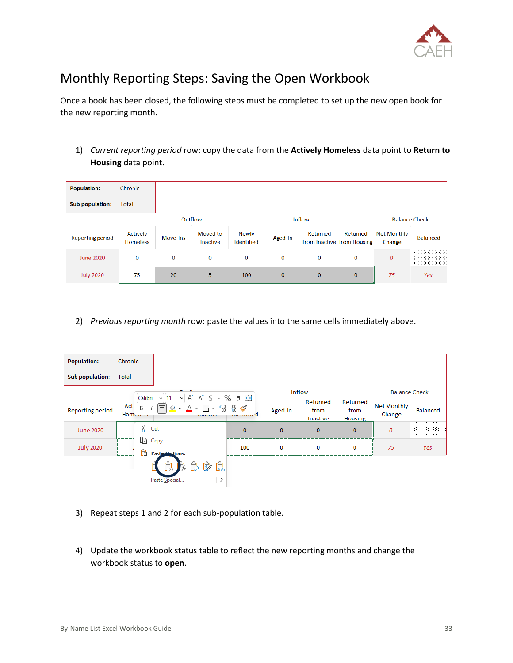

## <span id="page-34-0"></span>Monthly Reporting Steps: Saving the Open Workbook

Once a book has been closed, the following steps must be completed to set up the new open book for the new reporting month.

1) *Current reporting period* row: copy the data from the **Actively Homeless** data point to **Return to Housing** data point.

| <b>Population:</b>      | Chronic                     |          |                      |                            |          |               |                                        |                              |                 |
|-------------------------|-----------------------------|----------|----------------------|----------------------------|----------|---------------|----------------------------------------|------------------------------|-----------------|
| Sub population:         | <b>Total</b>                |          |                      |                            |          |               |                                        |                              |                 |
|                         |                             | Outflow  |                      |                            |          | <b>Inflow</b> |                                        | <b>Balance Check</b>         |                 |
| <b>Reporting period</b> | Actively<br><b>Homeless</b> | Move-Ins | Moved to<br>Inactive | <b>Newly</b><br>Identified | Aged-In  | Returned      | Returned<br>from Inactive from Housing | <b>Net Monthly</b><br>Change | <b>Balanced</b> |
| <b>June 2020</b>        | 0                           | 0        | $\mathbf 0$          | 0                          | 0        | 0             | 0                                      | $\boldsymbol{0}$             | 2000000000000   |
| <b>July 2020</b>        | 75                          | 20       | 5                    | 100                        | $\bf{0}$ | $\mathbf{0}$  | $\mathbf{0}$                           | 75                           | Yes             |

2) *Previous reporting month* row: paste the values into the same cells immediately above.

| <b>Population:</b>      | Chronic               |                                                                                                                                                                                                                              |              |          |                              |                                    |                              |          |
|-------------------------|-----------------------|------------------------------------------------------------------------------------------------------------------------------------------------------------------------------------------------------------------------------|--------------|----------|------------------------------|------------------------------------|------------------------------|----------|
| <b>Sub population:</b>  | <b>Total</b>          |                                                                                                                                                                                                                              |              |          |                              |                                    |                              |          |
|                         | Calibri               | $\sim$ $\sim$ $\sim$<br>A^ A^ \$ ~ % 9 国<br>$\checkmark$<br>$\vee$ 11                                                                                                                                                        |              |          | Inflow                       |                                    | <b>Balance Check</b>         |          |
| <b>Reporting period</b> | Acti<br>В<br>Home.com | ᆿ<br>$\frac{\Diamond A}{\Diamond A} \times \frac{\Box A}{\Diamond A} \times \frac{\Diamond A}{\Diamond B} \times \frac{\Diamond B}{\Diamond B} \times \frac{\Diamond B}{\Diamond B}$<br><b><i><u><i>ALLAMENT</i></u></i></b> | .            | Aged-In  | Returned<br>from<br>Inactive | Returned<br>from<br><b>Housing</b> | <b>Net Monthly</b><br>Change | Balanced |
| <b>June 2020</b>        | X.                    | Cut                                                                                                                                                                                                                          | $\mathbf{0}$ | $\bf{0}$ | $\mathbf 0$                  | $\mathbf{0}$                       | 0                            | 88888888 |
| <b>July 2020</b>        | Le Copy<br>Ĥ          | <b>Paste Ontions:</b>                                                                                                                                                                                                        | 100          | 0        | 0                            | 0                                  | 75                           | Yes      |
|                         |                       | 太良廖良<br>Ĥ,                                                                                                                                                                                                                   |              |          |                              |                                    |                              |          |
|                         |                       | Paste Special<br>>                                                                                                                                                                                                           |              |          |                              |                                    |                              |          |

- 3) Repeat steps 1 and 2 for each sub-population table.
- 4) Update the workbook status table to reflect the new reporting months and change the workbook status to **open**.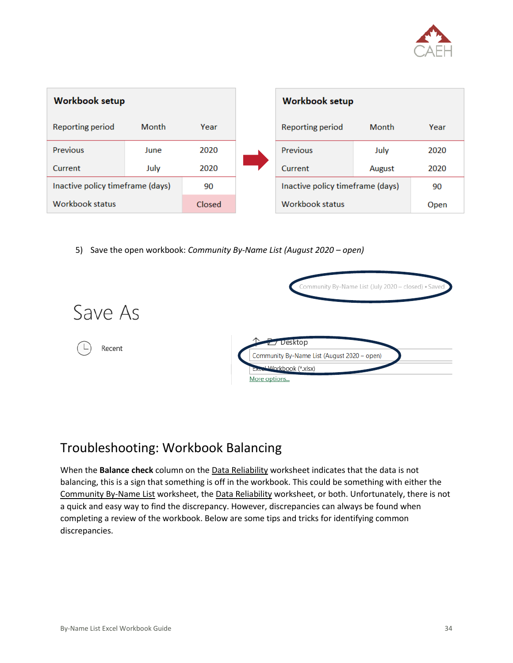

| <b>Workbook setup</b>            |              |        | <b>Workbook setup</b>            |        |      |
|----------------------------------|--------------|--------|----------------------------------|--------|------|
| Reporting period                 | <b>Month</b> | Year   | Reporting period                 | Month  | Year |
| Previous                         | June         | 2020   | Previous                         | July   | 2020 |
| Current                          | July         | 2020   | Current                          | August | 2020 |
| Inactive policy timeframe (days) |              | 90     | Inactive policy timeframe (days) |        | 90   |
| Workbook status                  |              | Closed | Workbook status                  |        | Open |

5) Save the open workbook: *Community By-Name List (August 2020 – open)*



### <span id="page-35-0"></span>Troubleshooting: Workbook Balancing

When the **Balance check** column on the Data Reliability worksheet indicates that the data is not balancing, this is a sign that something is off in the workbook. This could be something with either the Community By-Name List worksheet, the Data Reliability worksheet, or both. Unfortunately, there is not a quick and easy way to find the discrepancy. However, discrepancies can always be found when completing a review of the workbook. Below are some tips and tricks for identifying common discrepancies.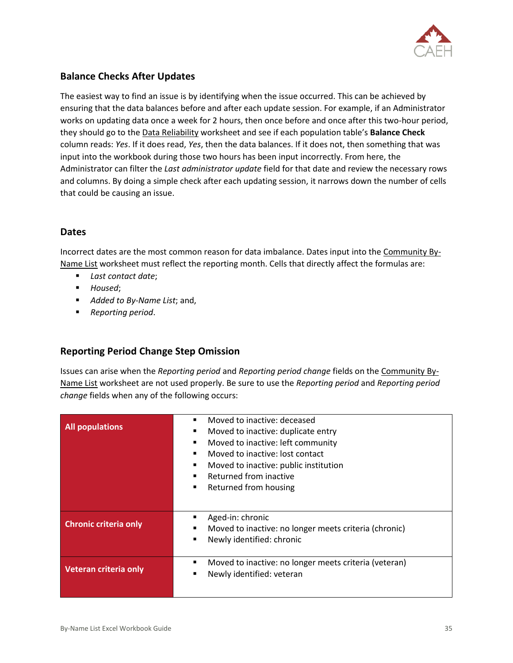

#### **Balance Checks After Updates**

The easiest way to find an issue is by identifying when the issue occurred. This can be achieved by ensuring that the data balances before and after each update session. For example, if an Administrator works on updating data once a week for 2 hours, then once before and once after this two-hour period, they should go to the Data Reliability worksheet and see if each population table's **Balance Check**  column reads: *Yes*. If it does read, *Yes*, then the data balances. If it does not, then something that was input into the workbook during those two hours has been input incorrectly. From here, the Administrator can filter the *Last administrator update* field for that date and review the necessary rows and columns. By doing a simple check after each updating session, it narrows down the number of cells that could be causing an issue.

#### **Dates**

Incorrect dates are the most common reason for data imbalance. Dates input into the Community By-Name List worksheet must reflect the reporting month. Cells that directly affect the formulas are:

- *Last contact date*;
- *Housed*;
- *Added to By-Name List*; and,
- *Reporting period*.

#### **Reporting Period Change Step Omission**

Issues can arise when the *Reporting period* and *Reporting period change* fields on the Community By-Name List worksheet are not used properly. Be sure to use the *Reporting period* and *Reporting period change* fields when any of the following occurs:

|                              | Moved to inactive: deceased<br>п                      |
|------------------------------|-------------------------------------------------------|
| <b>All populations</b>       | Moved to inactive: duplicate entry<br>п               |
|                              | Moved to inactive: left community<br>■                |
|                              | Moved to inactive: lost contact                       |
|                              | Moved to inactive: public institution<br>п            |
|                              | Returned from inactive<br>п                           |
|                              | Returned from housing<br>п                            |
|                              |                                                       |
|                              |                                                       |
| <b>Chronic criteria only</b> | Aged-in: chronic                                      |
|                              | Moved to inactive: no longer meets criteria (chronic) |
|                              | Newly identified: chronic<br>■                        |
|                              |                                                       |
|                              | Moved to inactive: no longer meets criteria (veteran) |
| Veteran criteria only        | Newly identified: veteran<br>■                        |
|                              |                                                       |
|                              |                                                       |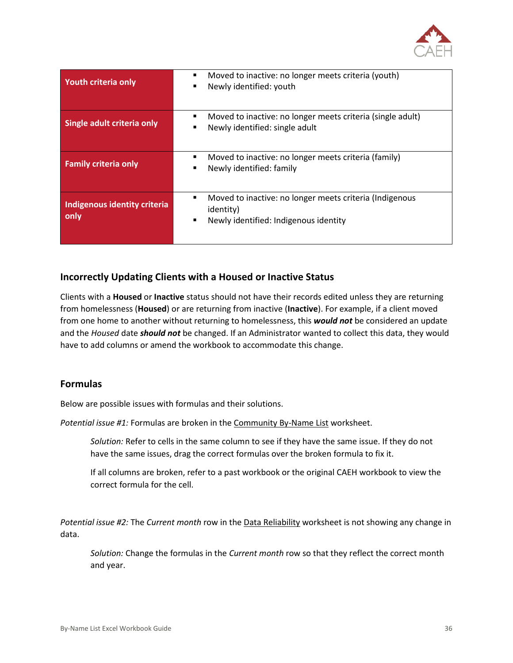

| <b>Youth criteria only</b>           | Moved to inactive: no longer meets criteria (youth)<br>Newly identified: youth<br>п                                             |
|--------------------------------------|---------------------------------------------------------------------------------------------------------------------------------|
| Single adult criteria only           | Moved to inactive: no longer meets criteria (single adult)<br>Newly identified: single adult                                    |
| <b>Family criteria only</b>          | Moved to inactive: no longer meets criteria (family)<br>■<br>Newly identified: family<br>■                                      |
| Indigenous identity criteria<br>only | Moved to inactive: no longer meets criteria (Indigenous<br>п<br><i>identity</i> )<br>Newly identified: Indigenous identity<br>п |

#### **Incorrectly Updating Clients with a Housed or Inactive Status**

Clients with a **Housed** or **Inactive** status should not have their records edited unless they are returning from homelessness (**Housed**) or are returning from inactive (**Inactive**). For example, if a client moved from one home to another without returning to homelessness, this *would not* be considered an update and the *Housed* date *should not* be changed. If an Administrator wanted to collect this data, they would have to add columns or amend the workbook to accommodate this change.

#### **Formulas**

Below are possible issues with formulas and their solutions.

*Potential issue #1:* Formulas are broken in the Community By-Name List worksheet.

*Solution:* Refer to cells in the same column to see if they have the same issue. If they do not have the same issues, drag the correct formulas over the broken formula to fix it.

If all columns are broken, refer to a past workbook or the original CAEH workbook to view the correct formula for the cell.

*Potential issue #2:* The *Current month* row in the Data Reliability worksheet is not showing any change in data.

*Solution:* Change the formulas in the *Current month* row so that they reflect the correct month and year.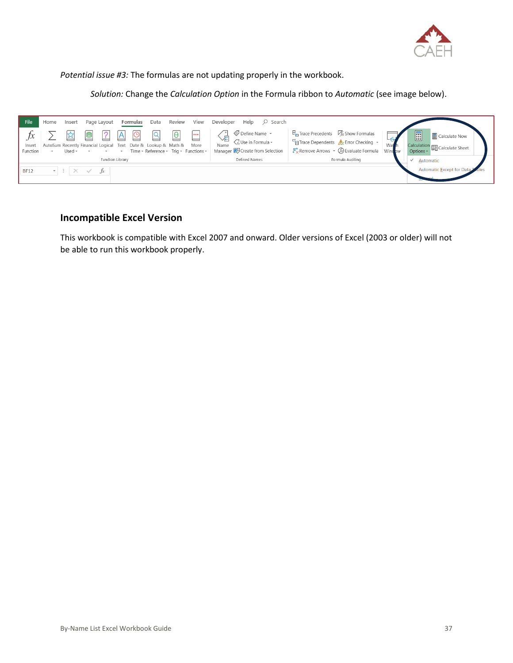

*Potential issue #3:* The formulas are not updating properly in the workbook.

*Solution:* Change the *Calculation Option* in the Formula ribbon to *Automatic* (see image below).



#### **Incompatible Excel Version**

This workbook is compatible with Excel 2007 and onward. Older versions of Excel (2003 or older) will not be able to run this workbook properly.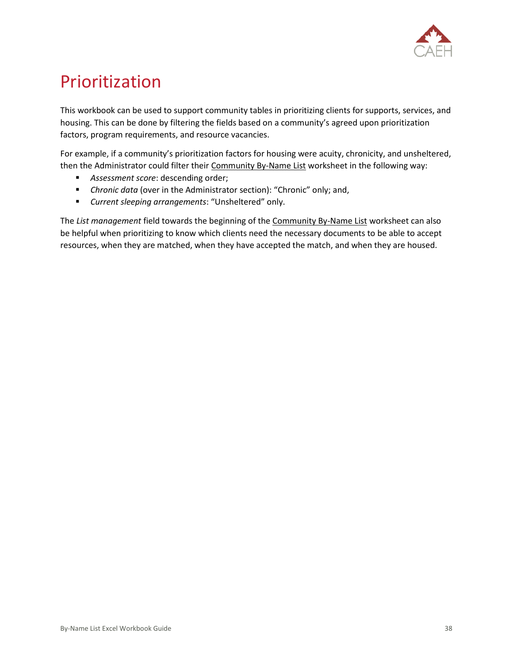

## <span id="page-39-0"></span>Prioritization

This workbook can be used to support community tables in prioritizing clients for supports, services, and housing. This can be done by filtering the fields based on a community's agreed upon prioritization factors, program requirements, and resource vacancies.

For example, if a community's prioritization factors for housing were acuity, chronicity, and unsheltered, then the Administrator could filter their Community By-Name List worksheet in the following way:

- *Assessment score*: descending order;
- *Chronic data* (over in the Administrator section): "Chronic" only; and,
- *Current sleeping arrangements*: "Unsheltered" only.

The *List management* field towards the beginning of the Community By-Name List worksheet can also be helpful when prioritizing to know which clients need the necessary documents to be able to accept resources, when they are matched, when they have accepted the match, and when they are housed.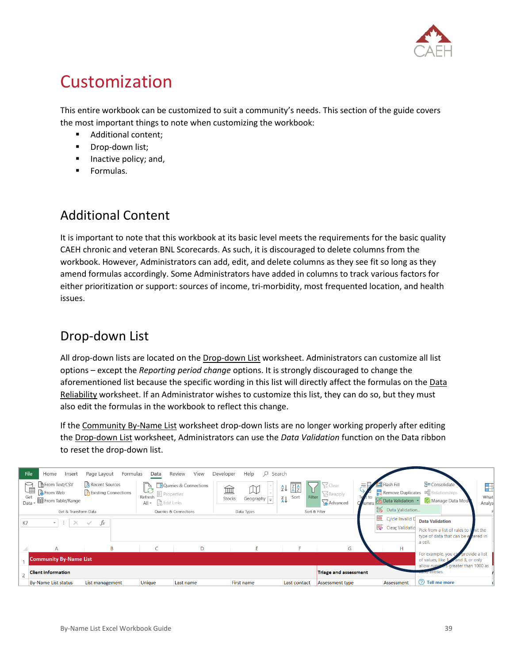

## <span id="page-40-0"></span>Customization

This entire workbook can be customized to suit a community's needs. This section of the guide covers the most important things to note when customizing the workbook:

- Additional content;
- **■** Drop-down list;
- Inactive policy; and,
- Formulas.

## <span id="page-40-1"></span>Additional Content

It is important to note that this workbook at its basic level meets the requirements for the basic quality CAEH chronic and veteran BNL Scorecards. As such, it is discouraged to delete columns from the workbook. However, Administrators can add, edit, and delete columns as they see fit so long as they amend formulas accordingly. Some Administrators have added in columns to track various factors for either prioritization or support: sources of income, tri-morbidity, most frequented location, and health issues.

## <span id="page-40-2"></span>Drop-down List

All drop-down lists are located on the Drop-down List worksheet. Administrators can customize all list options – except the *Reporting period change* options. It is strongly discouraged to change the aforementioned list because the specific wording in this list will directly affect the formulas on the Data Reliability worksheet. If an Administrator wishes to customize this list, they can do so, but they must also edit the formulas in the workbook to reflect this change.

If the Community By-Name List worksheet drop-down lists are no longer working properly after editing the Drop-down List worksheet, Administrators can use the *Data Validation* function on the Data ribbon to reset the drop-down list.